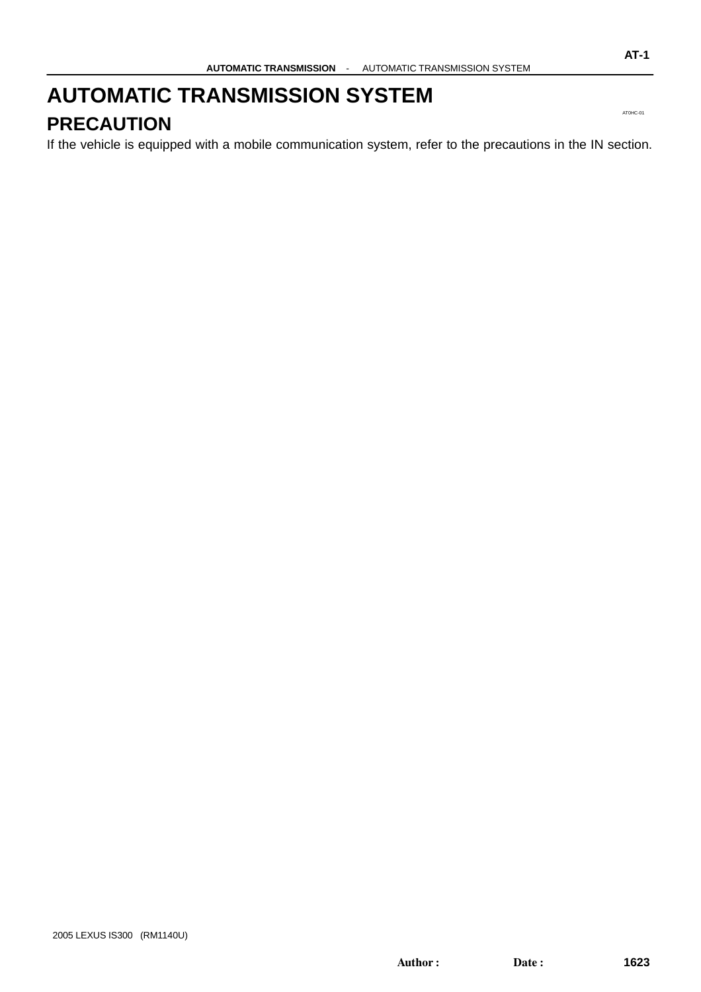#### <span id="page-0-0"></span>**AUTOMATIC TRANSMISSION SYSTEM PRECAUTION**

If the vehicle is equipped with a mobile communication system, refer to the precautions in the IN section.

AT0HC-01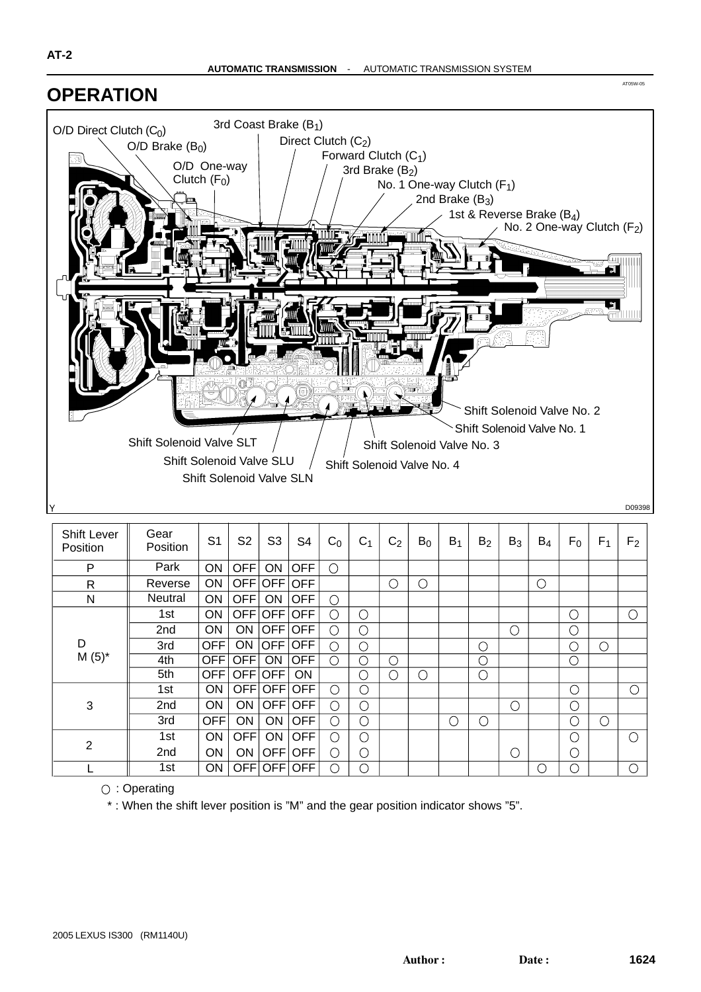#### **OPERATION**



| Shift Lever<br>Position | Gear<br>Position | S <sub>1</sub> | S <sub>2</sub> | S <sub>3</sub>            | S4         | $C_0$      | C <sub>1</sub> | C <sub>2</sub> | $B_0$      | $B_1$      | B <sub>2</sub> | $B_3$      | $B_4$      | $F_0$          | $F_{1}$ | F <sub>2</sub> |
|-------------------------|------------------|----------------|----------------|---------------------------|------------|------------|----------------|----------------|------------|------------|----------------|------------|------------|----------------|---------|----------------|
| P                       | Park             | ON             | <b>OFF</b>     | ON                        | <b>OFF</b> | $\bigcirc$ |                |                |            |            |                |            |            |                |         |                |
| $\mathsf{R}$            | Reverse          | <b>ON</b>      |                | OFF OFF                   | <b>OFF</b> |            |                | $\bigcirc$     | $\bigcirc$ |            |                |            | $\bigcirc$ |                |         |                |
| N                       | <b>Neutral</b>   | ON             | <b>OFF</b>     | ON                        | <b>OFF</b> | $\bigcap$  |                |                |            |            |                |            |            |                |         |                |
|                         | 1st              | ON             |                | OFF OFF OFF               |            | O          | О              |                |            |            |                |            |            | $\bigcirc$     |         | $\circ$        |
| D<br>$M(5)^*$           | 2nd              | ON             | ON             | $\overline{\mathsf{OFF}}$ | <b>OFF</b> | ∩          | Э              |                |            |            |                | $\bigcirc$ |            | О              |         |                |
|                         | 3rd              | <b>OFF</b>     | <b>ON</b>      | $\overline{\mathsf{OFF}}$ | <b>OFF</b> | ∩          | ◯              |                |            |            | О              |            |            | О              | О       |                |
|                         | 4th              | OFF            | <b>OFF</b>     | <b>ON</b>                 | <b>OFF</b> | ∩          | О              | $\bigcirc$     |            |            | $\bigcirc$     |            |            | О              |         |                |
|                         | 5th              | <b>OFF</b>     | OFF            | <b>OFF</b>                | <b>ON</b>  |            | ()             | $\bigcirc$     | $\bigcirc$ |            | О              |            |            |                |         |                |
| 3                       | 1st              | <b>ON</b>      |                | OFFIOFF                   | <b>OFF</b> | ∩          | С              |                |            |            |                |            |            | O              |         | $\bigcirc$     |
|                         | 2nd              | ON             | ON             | <b>OFF</b>                | <b>OFF</b> | ∩          | C              |                |            |            |                | О          |            | $\overline{O}$ |         |                |
|                         | 3rd              | <b>OFF</b>     | ON             | ON                        | <b>OFF</b> | ∩          | О              |                |            | $\bigcirc$ | С              |            |            | C              | C       |                |
| $\overline{2}$          | 1st              | <b>ON</b>      | <b>OFF</b>     | <b>ON</b>                 | <b>OFF</b> | ∩          | С              |                |            |            |                |            |            | О              |         | $\bigcirc$     |
|                         | 2nd              | <b>ON</b>      | ON             | OFF                       | <b>OFF</b> | ∩          | €              |                |            |            |                | О          |            | О              |         |                |
|                         | 1st              | <b>ON</b>      | OFF            | <b>OFF</b>                | <b>OFF</b> | ∩          | C              |                |            |            |                |            | ( )        | ∩              |         | $\bigcirc$     |

○: Operating

\* : When the shift lever position is "M" and the gear position indicator shows "5".

AT05W-05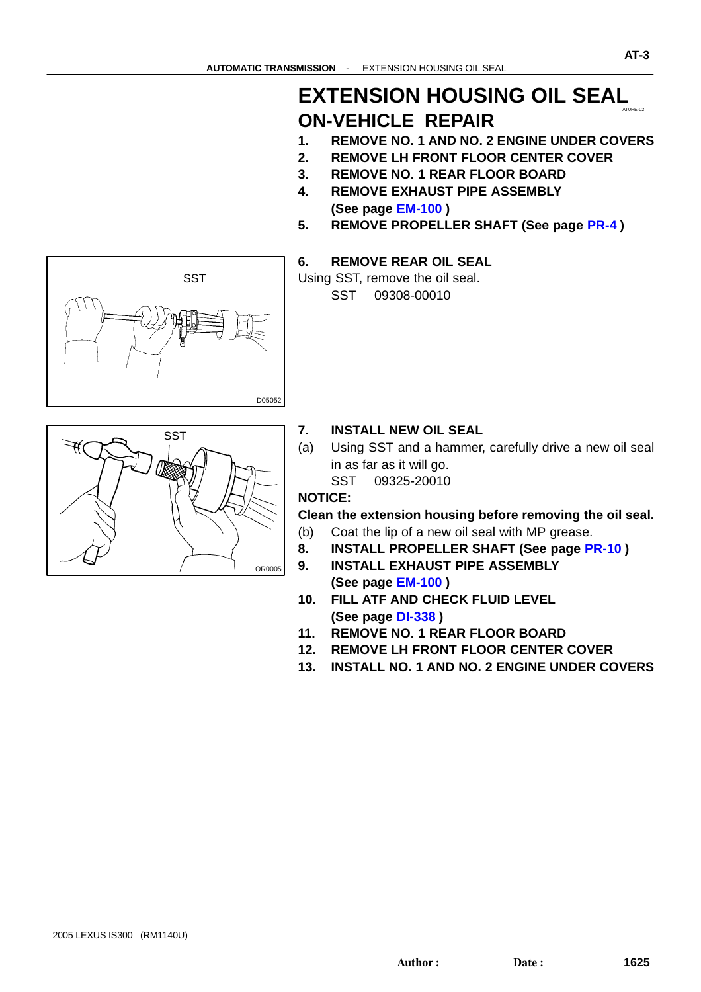#### AT0HE-02 **EXTENSION HOUSING OIL SEAL ON-VEHICLE REPAIR**

- **1. REMOVE NO. 1 AND NO. 2 ENGINE UNDER COVERS**
- **2. REMOVE LH FRONT FLOOR CENTER COVER**
- **3. REMOVE NO. 1 REAR FLOOR BOARD**
- **4. REMOVE EXHAUST PIPE ASSEMBLY (See page [EM-100](#page-0-0) )**
- **5. REMOVE PROPELLER SHAFT (See page [PR-4](#page-0-0) )**
- **6. REMOVE REAR OIL SEAL**







- **7. INSTALL NEW OIL SEAL**
- (a) Using SST and a hammer, carefully drive a new oil seal in as far as it will go.
	- SST 09325-20010

#### **NOTICE:**

**Clean the extension housing before removing the oil seal.**

- (b) Coat the lip of a new oil seal with MP grease.
- **8. INSTALL PROPELLER SHAFT (See page [PR-10](#page-0-0) )**
- **9. INSTALL EXHAUST PIPE ASSEMBLY (See page [EM-100](#page-0-0) )**
- **10. FILL ATF AND CHECK FLUID LEVEL (See page [DI-338](#page-0-0) )**
- **11. REMOVE NO. 1 REAR FLOOR BOARD**
- **12. REMOVE LH FRONT FLOOR CENTER COVER**
- **13. INSTALL NO. 1 AND NO. 2 ENGINE UNDER COVERS**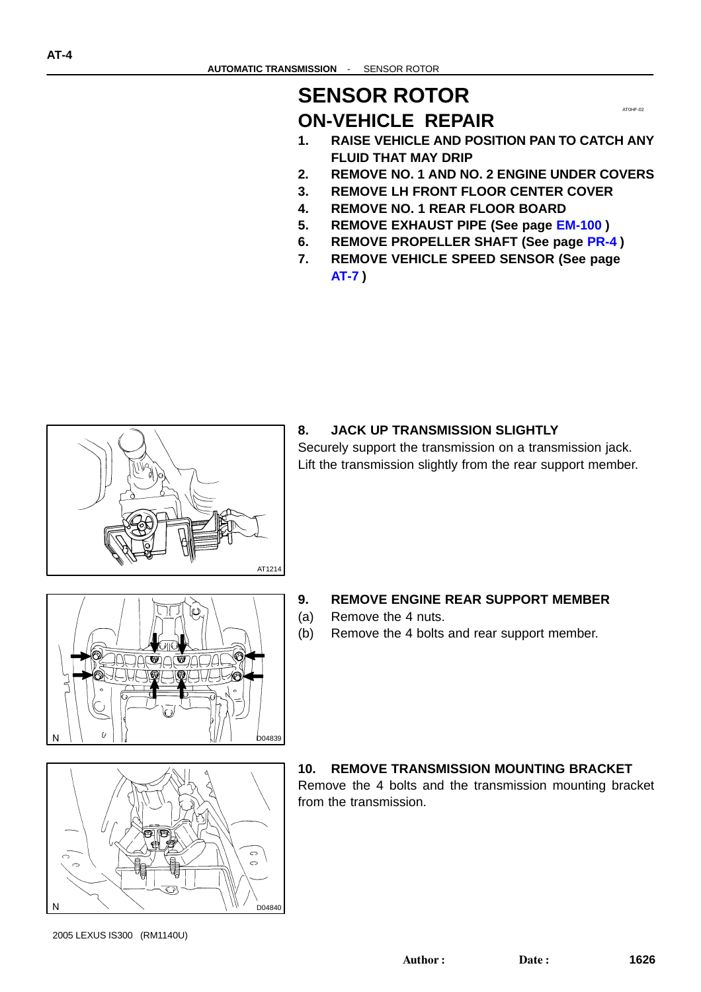#### **SENSOR ROTOR ON-VEHICLE REPAIR**

**1. RAISE VEHICLE AND POSITION PAN TO CATCH ANY FLUID THAT MAY DRIP**

AT0HF-02

- **2. REMOVE NO. 1 AND NO. 2 ENGINE UNDER COVERS**
- **3. REMOVE LH FRONT FLOOR CENTER COVER**
- **4. REMOVE NO. 1 REAR FLOOR BOARD**
- **5. REMOVE EXHAUST PIPE (See page [EM-100](#page-0-0) )**
- **6. REMOVE PROPELLER SHAFT (See page [PR-4](#page-0-0) )**
- **7. REMOVE VEHICLE SPEED SENSOR (See page [AT-7](#page-0-0) )**



#### **8. JACK UP TRANSMISSION SLIGHTLY**

Securely support the transmission on a transmission jack. Lift the transmission slightly from the rear support member.

(ف) **기대적 미 여기미의** D04839

#### **9. REMOVE ENGINE REAR SUPPORT MEMBER**

- (a) Remove the 4 nuts.
- (b) Remove the 4 bolts and rear support member.



#### **10. REMOVE TRANSMISSION MOUNTING BRACKET**

Remove the 4 bolts and the transmission mounting bracket from the transmission.

2005 LEXUS IS300 (RM1140U)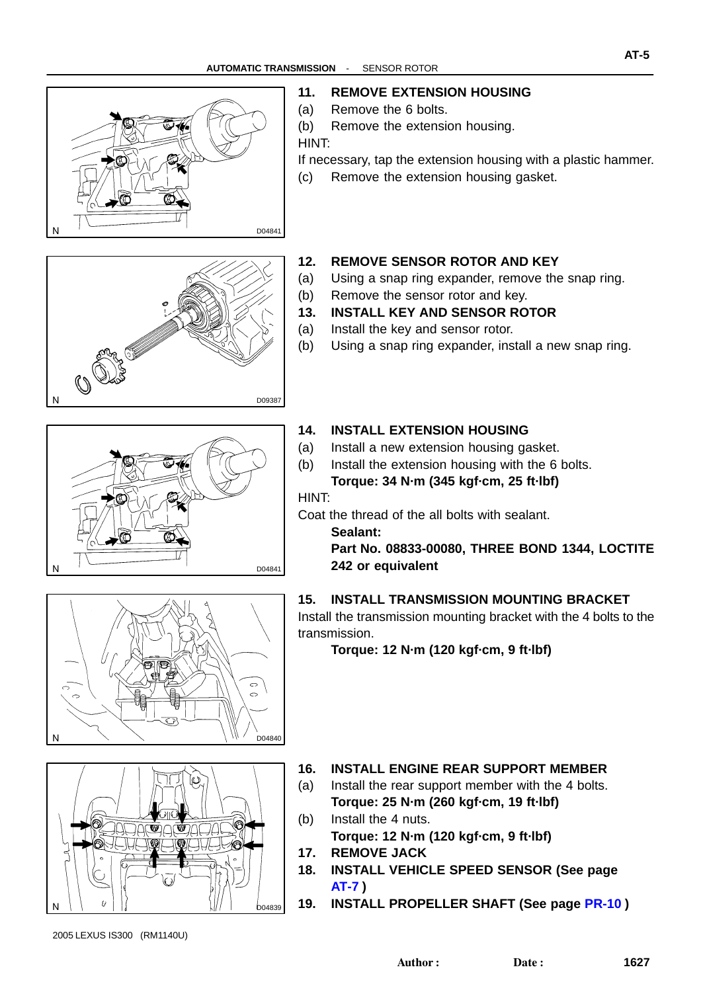





#### **12. REMOVE SENSOR ROTOR AND KEY**

- (a) Using a snap ring expander, remove the snap ring.
- (b) Remove the sensor rotor and key.
- **13. INSTALL KEY AND SENSOR ROTOR**
- (a) Install the key and sensor rotor.
- (b) Using a snap ring expander, install a new snap ring.



#### **14. INSTALL EXTENSION HOUSING**

- (a) Install a new extension housing gasket.
- (b) Install the extension housing with the 6 bolts. **Torque: 34 N·m (345 kgf·cm, 25 ft·lbf)**

HINT:

Coat the thread of the all bolts with sealant.

**Sealant:**

**Part No. 08833-00080, THREE BOND 1344, LOCTITE 242 or equivalent**

#### **15. INSTALL TRANSMISSION MOUNTING BRACKET**

Install the transmission mounting bracket with the 4 bolts to the transmission.

**Torque: 12 N·m (120 kgf·cm, 9 ft·lbf)**





**16. INSTALL ENGINE REAR SUPPORT MEMBER**

- (a) Install the rear support member with the 4 bolts. **Torque: 25 N·m (260 kgf·cm, 19 ft·lbf)**
- (b) Install the 4 nuts. **Torque: 12 N·m (120 kgf·cm, 9 ft·lbf)**
- **17. REMOVE JACK**
- **18. INSTALL VEHICLE SPEED SENSOR (See page [AT-7](#page-0-0) )**
- **19. INSTALL PROPELLER SHAFT (See page [PR-10](#page-0-0) )**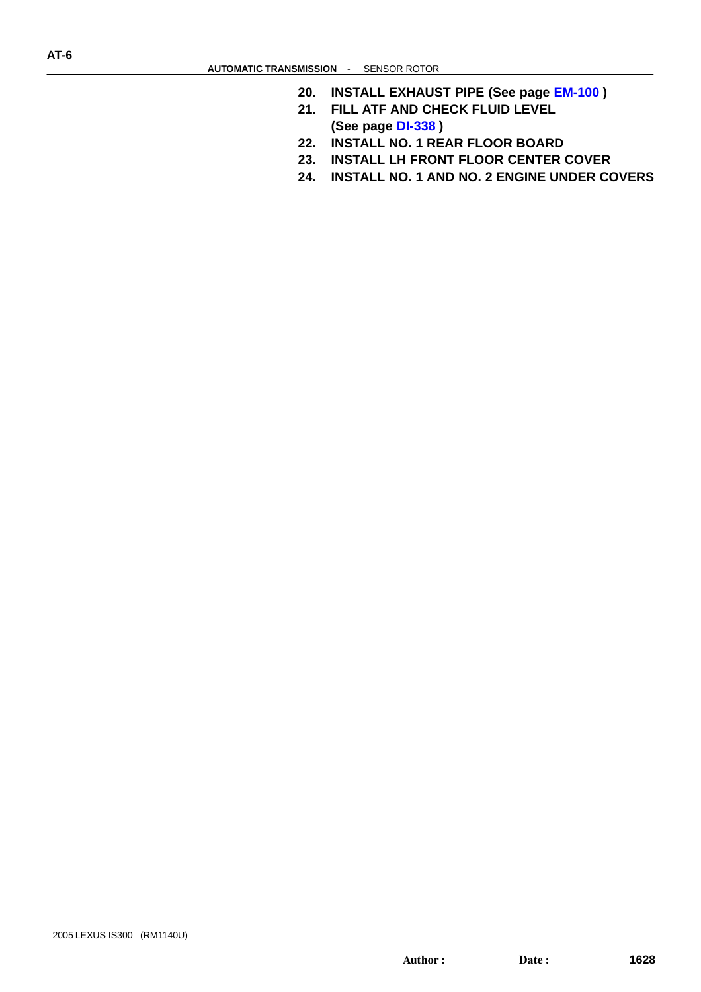- **20. INSTALL EXHAUST PIPE (See page [EM-100](#page-0-0) )**
- **21. FILL ATF AND CHECK FLUID LEVEL (See page [DI-338](#page-0-0) )**
- **22. INSTALL NO. 1 REAR FLOOR BOARD**
- **23. INSTALL LH FRONT FLOOR CENTER COVER**
- **24. INSTALL NO. 1 AND NO. 2 ENGINE UNDER COVERS**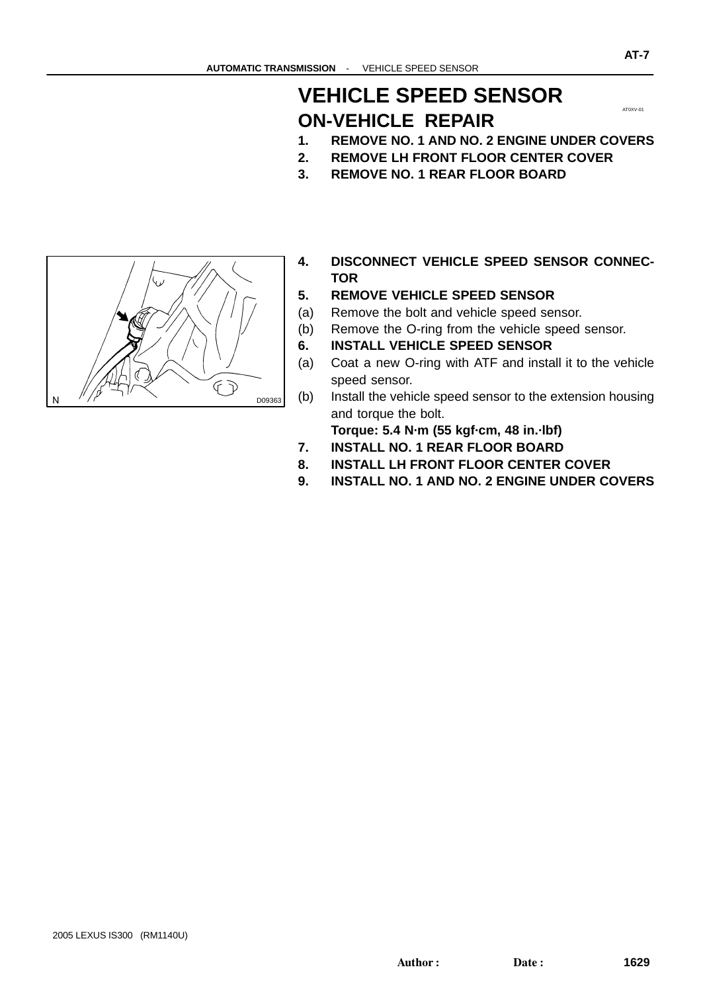#### **VEHICLE SPEED SENSOR ON-VEHICLE REPAIR**

- **2. REMOVE LH FRONT FLOOR CENTER COVER**
- **3. REMOVE NO. 1 REAR FLOOR BOARD**



- **4. DISCONNECT VEHICLE SPEED SENSOR CONNEC-TOR**
- **5. REMOVE VEHICLE SPEED SENSOR**
- (a) Remove the bolt and vehicle speed sensor.
- (b) Remove the O-ring from the vehicle speed sensor.
- **6. INSTALL VEHICLE SPEED SENSOR**
- (a) Coat a new O-ring with ATF and install it to the vehicle speed sensor.
- (b) Install the vehicle speed sensor to the extension housing and torque the bolt.

**Torque: 5.4 N·m (55 kgf·cm, 48 in.·lbf)**

- **7. INSTALL NO. 1 REAR FLOOR BOARD**
- **8. INSTALL LH FRONT FLOOR CENTER COVER**
- **9. INSTALL NO. 1 AND NO. 2 ENGINE UNDER COVERS**

AT0XV-01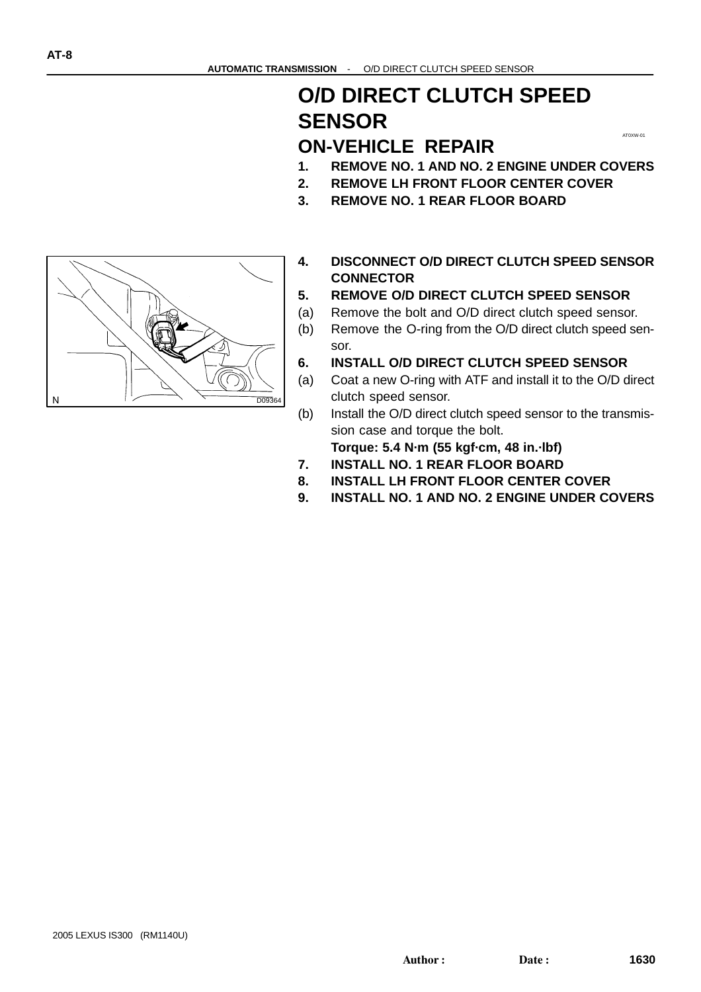#### **O/D DIRECT CLUTCH SPEED SENSOR**

#### **ON-VEHICLE REPAIR**

**1. REMOVE NO. 1 AND NO. 2 ENGINE UNDER COVERS**

AT0XW-01

- **2. REMOVE LH FRONT FLOOR CENTER COVER**
- **3. REMOVE NO. 1 REAR FLOOR BOARD**



- **5. REMOVE O/D DIRECT CLUTCH SPEED SENSOR**
- (a) Remove the bolt and O/D direct clutch speed sensor.
- (b) Remove the O-ring from the O/D direct clutch speed sensor.
- **6. INSTALL O/D DIRECT CLUTCH SPEED SENSOR**
- (a) Coat a new O-ring with ATF and install it to the O/D direct clutch speed sensor.
- (b) Install the O/D direct clutch speed sensor to the transmission case and torque the bolt.

**Torque: 5.4 N·m (55 kgf·cm, 48 in.·lbf)**

- **7. INSTALL NO. 1 REAR FLOOR BOARD**
- **8. INSTALL LH FRONT FLOOR CENTER COVER**
- **9. INSTALL NO. 1 AND NO. 2 ENGINE UNDER COVERS**

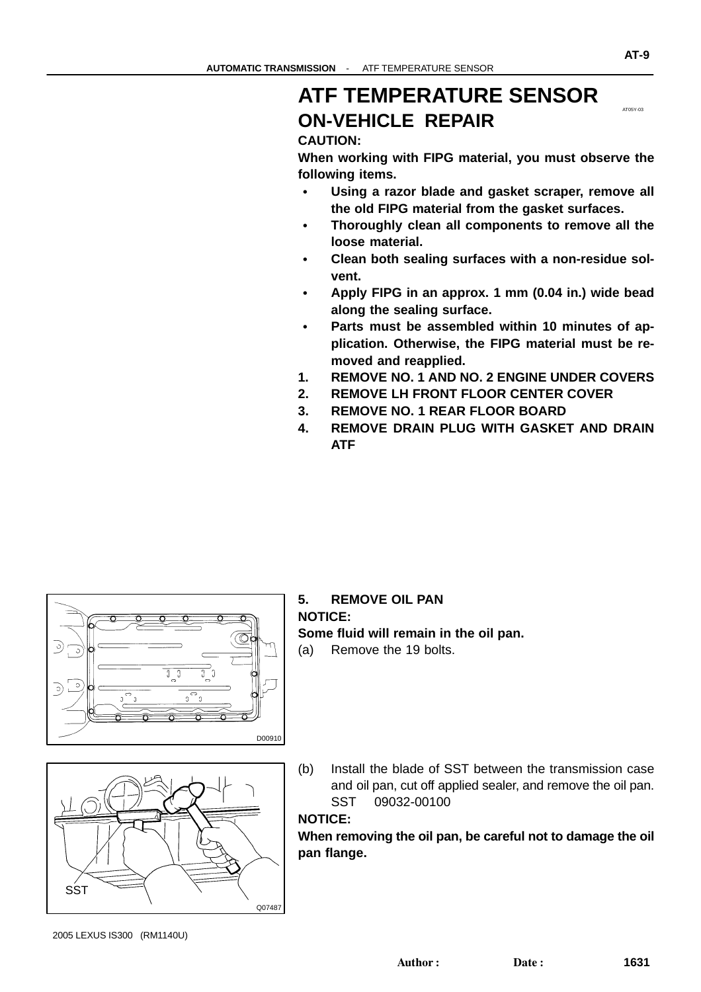#### **ATF TEMPERATURE SENSOR ON-VEHICLE REPAIR**

#### **CAUTION:**

**When working with FIPG material, you must observe the following items.**

- **Using a razor blade and gasket scraper, remove all the old FIPG material from the gasket surfaces.**
- $\bullet$  **Thoroughly clean all components to remove all the loose material.**
- **Clean both sealing surfaces with a non-residue solvent.**
- **Apply FIPG in an approx. 1 mm (0.04 in.) wide bead along the sealing surface.**
- **Parts must be assembled within 10 minutes of application. Otherwise, the FIPG material must be removed and reapplied.**
- **1. REMOVE NO. 1 AND NO. 2 ENGINE UNDER COVERS**
- **2. REMOVE LH FRONT FLOOR CENTER COVER**
- **3. REMOVE NO. 1 REAR FLOOR BOARD**
- **4. REMOVE DRAIN PLUG WITH GASKET AND DRAIN ATF**



#### **5. REMOVE OIL PAN NOTICE: Some fluid will remain in the oil pan.** (a) Remove the 19 bolts.

- Q07487 SST
- (b) Install the blade of SST between the transmission case and oil pan, cut off applied sealer, and remove the oil pan. SST 09032-00100

#### **NOTICE:**

**When removing the oil pan, be careful not to damage the oil pan flange.**

AT05Y-03

**AT-9**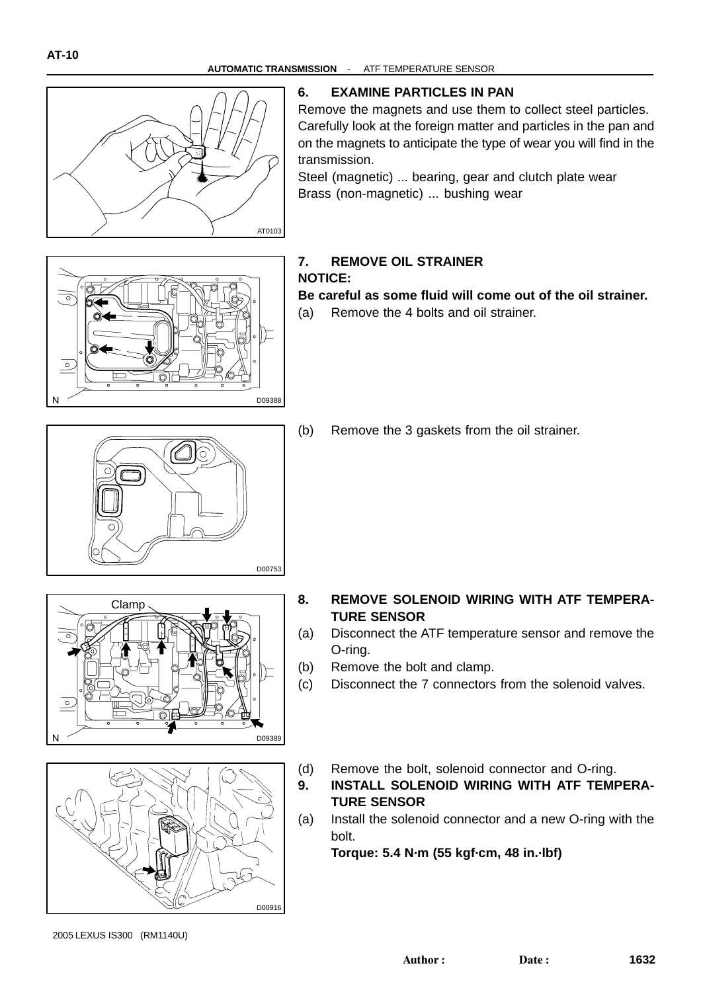

#### **6. EXAMINE PARTICLES IN PAN**

Remove the magnets and use them to collect steel particles. Carefully look at the foreign matter and particles in the pan and on the magnets to anticipate the type of wear you will find in the transmission.

Steel (magnetic) ... bearing, gear and clutch plate wear Brass (non-magnetic) ... bushing wear



#### **7. REMOVE OIL STRAINER NOTICE:**

#### **Be careful as some fluid will come out of the oil strainer.**

(a) Remove the 4 bolts and oil strainer.



(b) Remove the 3 gaskets from the oil strainer.





- **8. REMOVE SOLENOID WIRING WITH ATF TEMPERA-TURE SENSOR**
- (a) Disconnect the ATF temperature sensor and remove the O-ring.
- (b) Remove the bolt and clamp.
- (c) Disconnect the 7 connectors from the solenoid valves.
- (d) Remove the bolt, solenoid connector and O-ring.
- **9. INSTALL SOLENOID WIRING WITH ATF TEMPERA-TURE SENSOR**
- (a) Install the solenoid connector and a new O-ring with the bolt.

**Torque: 5.4 N·m (55 kgf·cm, 48 in.·lbf)**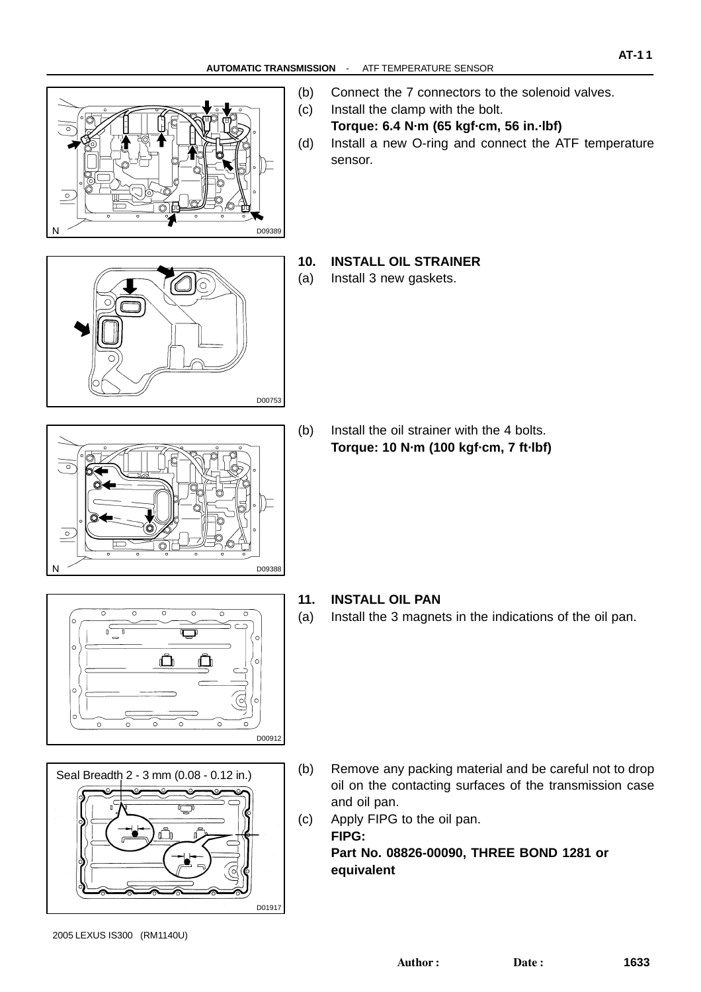

- (b) Connect the 7 connectors to the solenoid valves.
- (c) Install the clamp with the bolt. **Torque: 6.4 N·m (65 kgf·cm, 56 in.·lbf)**
- (d) Install a new O-ring and connect the ATF temperature sensor.

**AT-1 1**



#### **10. INSTALL OIL STRAINER**

(a) Install 3 new gaskets.

D09388

(b) Install the oil strainer with the 4 bolts. **Torque: 10 N·m (100 kgf·cm, 7 ft·lbf)**

 $\overline{c}$ Ŏ ∩ D00912

 $\overline{\circ}$ 



- **11. INSTALL OIL PAN**
- (a) Install the 3 magnets in the indications of the oil pan.

- (b) Remove any packing material and be careful not to drop oil on the contacting surfaces of the transmission case and oil pan.
- (c) Apply FIPG to the oil pan. **FIPG: Part No. 08826-00090, THREE BOND 1281 or equivalent**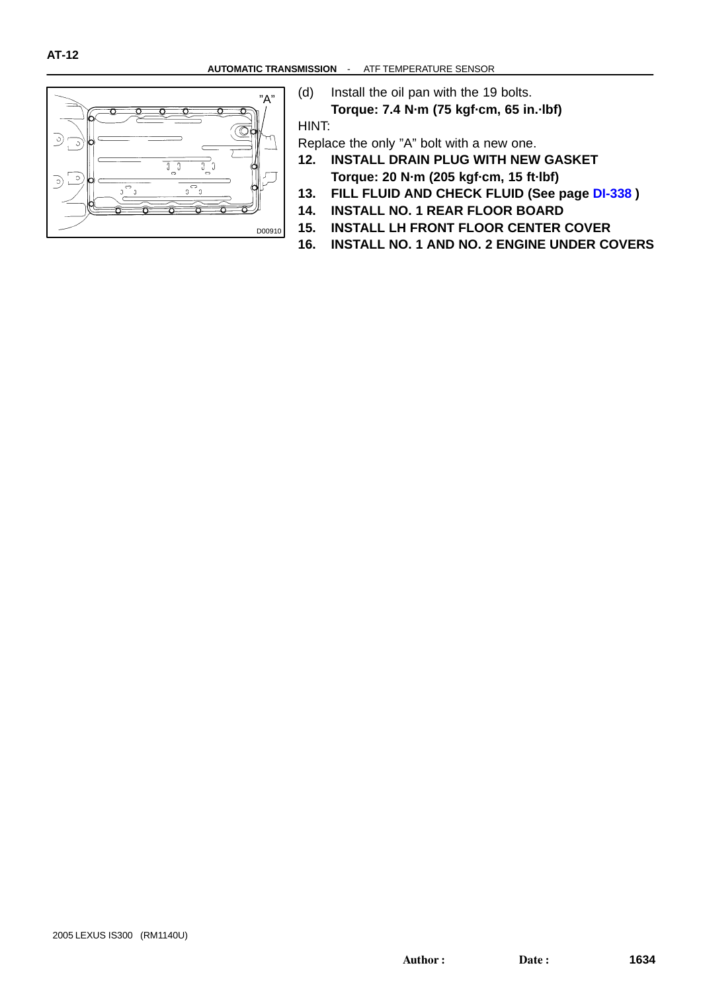

(d) Install the oil pan with the 19 bolts.

**Torque: 7.4 N·m (75 kgf·cm, 65 in.·lbf)** HINT:

Replace the only "A" bolt with a new one.

- **12. INSTALL DRAIN PLUG WITH NEW GASKET Torque: 20 N·m (205 kgf·cm, 15 ft·lbf)**
- **13. FILL FLUID AND CHECK FLUID (See page [DI-338](#page-0-0) )**
- **14. INSTALL NO. 1 REAR FLOOR BOARD**
- **15. INSTALL LH FRONT FLOOR CENTER COVER**
- **16. INSTALL NO. 1 AND NO. 2 ENGINE UNDER COVERS**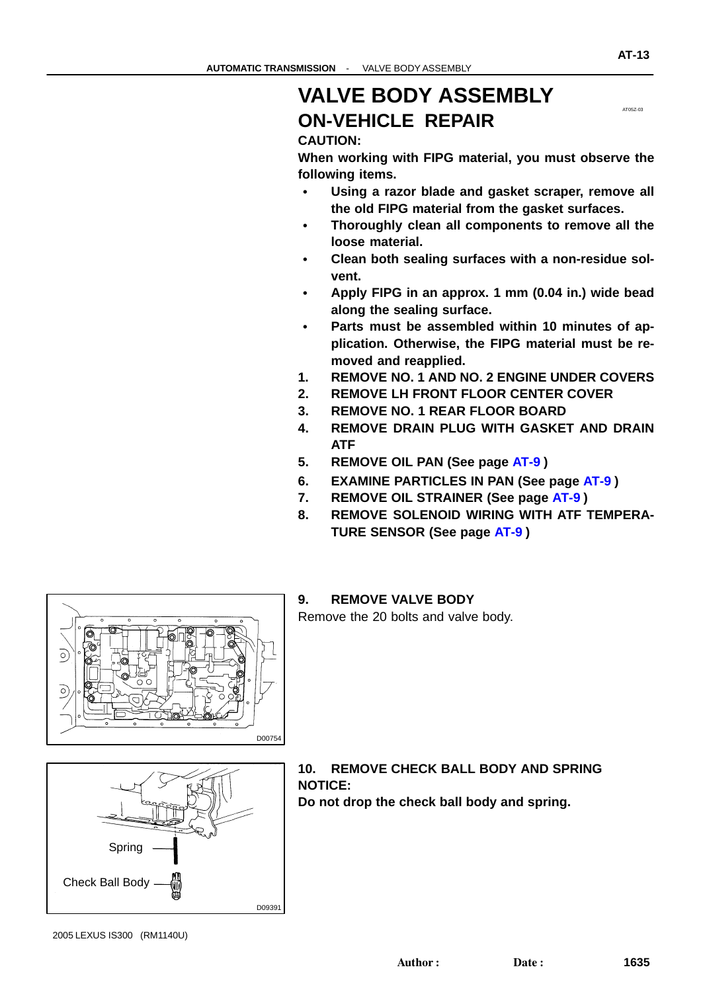#### **VALVE BODY ASSEMBLY ON-VEHICLE REPAIR**

#### **CAUTION:**

**When working with FIPG material, you must observe the following items.**

- **Using a razor blade and gasket scraper, remove all the old FIPG material from the gasket surfaces.**
- **Thoroughly clean all components to remove all the loose material.**
- **Clean both sealing surfaces with a non-residue solvent.**
- **Apply FIPG in an approx. 1 mm (0.04 in.) wide bead along the sealing surface.**
- **Parts must be assembled within 10 minutes of application. Otherwise, the FIPG material must be removed and reapplied.**
- **1. REMOVE NO. 1 AND NO. 2 ENGINE UNDER COVERS**
- **2. REMOVE LH FRONT FLOOR CENTER COVER**
- **3. REMOVE NO. 1 REAR FLOOR BOARD**
- **4. REMOVE DRAIN PLUG WITH GASKET AND DRAIN ATF**
- **5. REMOVE OIL PAN (See page [AT-9](#page-0-0) )**
- **6. EXAMINE PARTICLES IN PAN (See page [AT-9](#page-0-0) )**
- **7. REMOVE OIL STRAINER (See page [AT-9](#page-0-0) )**
- **8. REMOVE SOLENOID WIRING WITH ATF TEMPERA-TURE SENSOR (See page [AT-9](#page-0-0) )**



Remove the 20 bolts and valve body.





**10. REMOVE CHECK BALL BODY AND SPRING NOTICE: Do not drop the check ball body and spring.**

AT05Z-03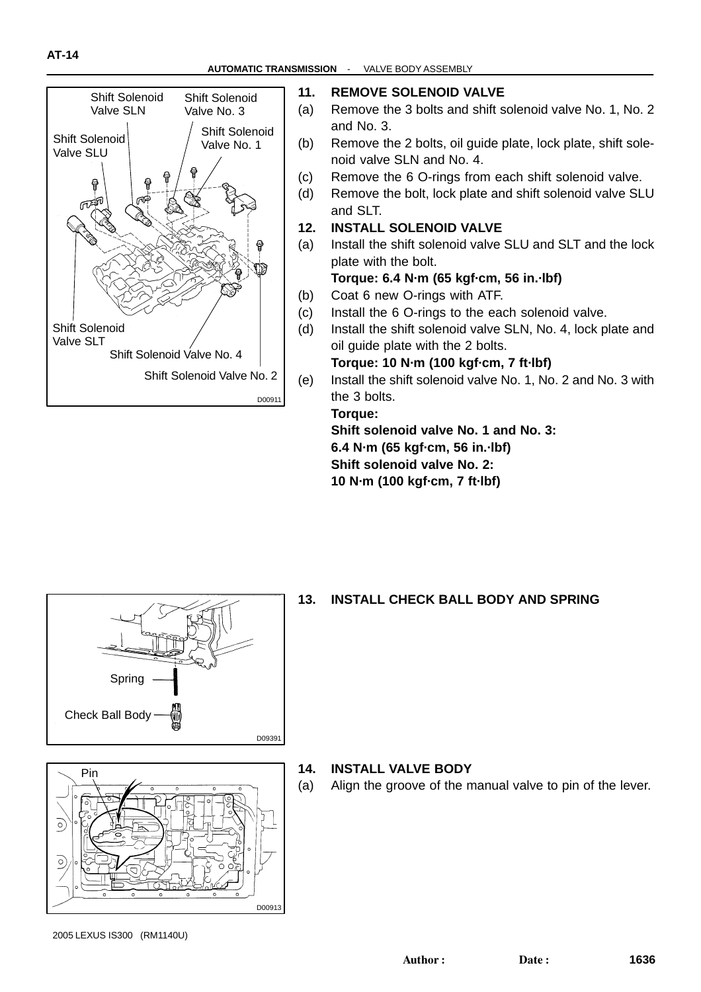

#### **11. REMOVE SOLENOID VALVE**

- (a) Remove the 3 bolts and shift solenoid valve No. 1, No. 2 and No. 3.
- (b) Remove the 2 bolts, oil guide plate, lock plate, shift solenoid valve SLN and No. 4.
- (c) Remove the 6 O-rings from each shift solenoid valve.
- (d) Remove the bolt, lock plate and shift solenoid valve SLU and SLT.
- **12. INSTALL SOLENOID VALVE**
- (a) Install the shift solenoid valve SLU and SLT and the lock plate with the bolt.

#### **Torque: 6.4 N·m (65 kgf·cm, 56 in.·lbf)**

- (b) Coat 6 new O-rings with ATF.
- (c) Install the 6 O-rings to the each solenoid valve.
- (d) Install the shift solenoid valve SLN, No. 4, lock plate and oil guide plate with the 2 bolts.

#### **Torque: 10 N·m (100 kgf·cm, 7 ft·lbf)**

(e) Install the shift solenoid valve No. 1, No. 2 and No. 3 with the 3 bolts.

#### **Torque:**

**Shift solenoid valve No. 1 and No. 3:**

**6.4 N·m (65 kgf·cm, 56 in.·lbf)**

**Shift solenoid valve No. 2:**

**10 N·m (100 kgf·cm, 7 ft·lbf)**



#### **13. INSTALL CHECK BALL BODY AND SPRING**



#### **14. INSTALL VALVE BODY**

(a) Align the groove of the manual valve to pin of the lever.

<sup>2005</sup> LEXUS IS300 (RM1140U)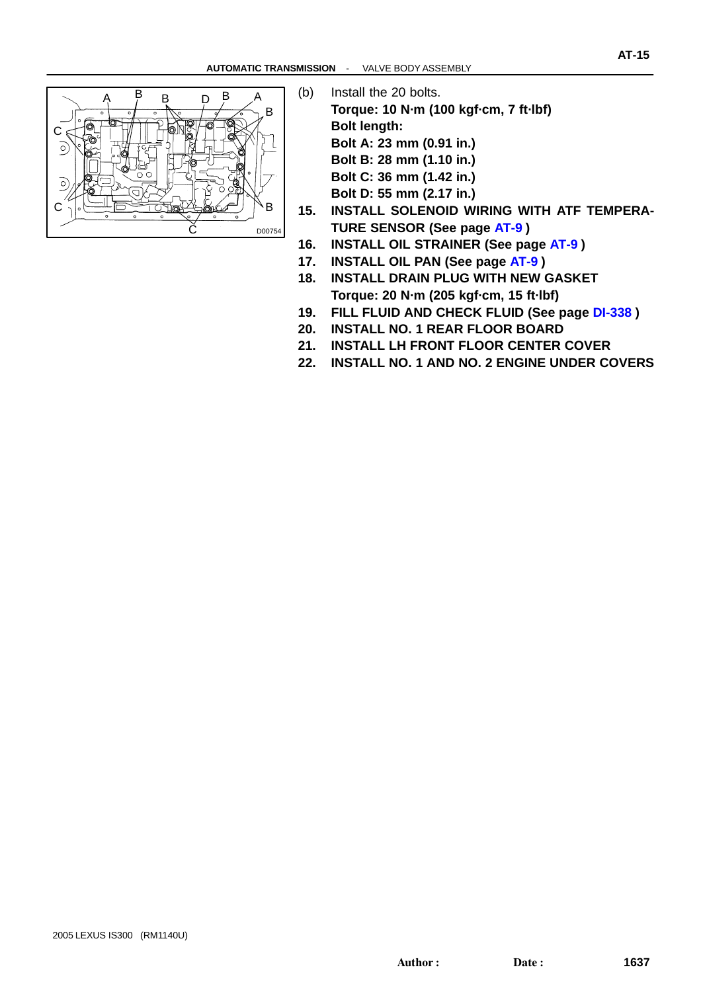

- (b) Install the 20 bolts. **Torque: 10 N·m (100 kgf·cm, 7 ft·lbf) Bolt length: Bolt A: 23 mm (0.91 in.) Bolt B: 28 mm (1.10 in.) Bolt C: 36 mm (1.42 in.)**
	- **Bolt D: 55 mm (2.17 in.)**
- **15. INSTALL SOLENOID WIRING WITH ATF TEMPERA-TURE SENSOR (See page [AT-9](#page-0-0) )**
- **16. INSTALL OIL STRAINER (See page [AT-9](#page-0-0) )**
- **17. INSTALL OIL PAN (See page [AT-9](#page-0-0) )**
- **18. INSTALL DRAIN PLUG WITH NEW GASKET Torque: 20 N·m (205 kgf·cm, 15 ft·lbf)**
- **19. FILL FLUID AND CHECK FLUID (See page [DI-338](#page-0-0) )**
- **20. INSTALL NO. 1 REAR FLOOR BOARD**
- **21. INSTALL LH FRONT FLOOR CENTER COVER**
- **22. INSTALL NO. 1 AND NO. 2 ENGINE UNDER COVERS**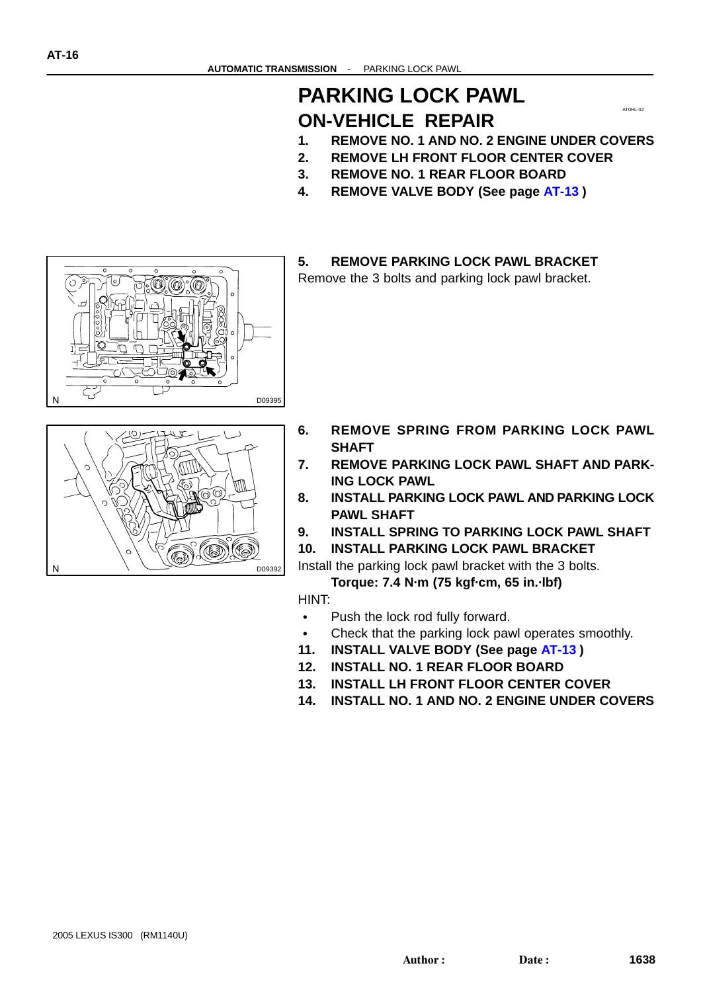#### **PARKING LOCK PAWL ON-VEHICLE REPAIR**

AT0HL-02

- **1. REMOVE NO. 1 AND NO. 2 ENGINE UNDER COVERS**
- **2. REMOVE LH FRONT FLOOR CENTER COVER**
- **3. REMOVE NO. 1 REAR FLOOR BOARD**
- **4. REMOVE VALVE BODY (See page [AT-13](#page-0-0) )**

#### **5. REMOVE PARKING LOCK PAWL BRACKET**

Remove the 3 bolts and parking lock pawl bracket.





- **6. REMOVE SPRING FROM PARKING LOCK PAWL SHAFT**
- **7. REMOVE PARKING LOCK PAWL SHAFT AND PARK-ING LOCK PAWL**
- **8. INSTALL PARKING LOCK PAWL AND PARKING LOCK PAWL SHAFT**
- **9. INSTALL SPRING TO PARKING LOCK PAWL SHAFT**
- **10. INSTALL PARKING LOCK PAWL BRACKET**

Install the parking lock pawl bracket with the 3 bolts.

**Torque: 7.4 N·m (75 kgf·cm, 65 in.·lbf)**

HINT:

- $\bullet$ Push the lock rod fully forward.
- Check that the parking lock pawl operates smoothly.
- **11. INSTALL VALVE BODY (See page [AT-13](#page-0-0) )**
- **12. INSTALL NO. 1 REAR FLOOR BOARD**
- **13. INSTALL LH FRONT FLOOR CENTER COVER**
- **14. INSTALL NO. 1 AND NO. 2 ENGINE UNDER COVERS**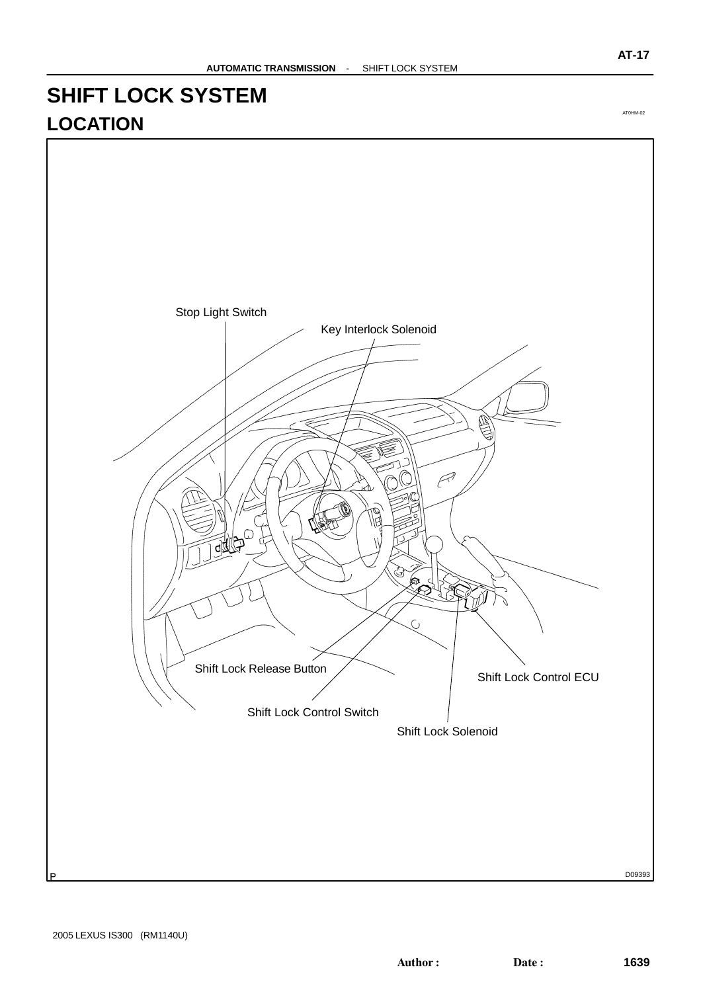#### **SHIFT LOCK SYSTEM LOCATION**



AT0HM-02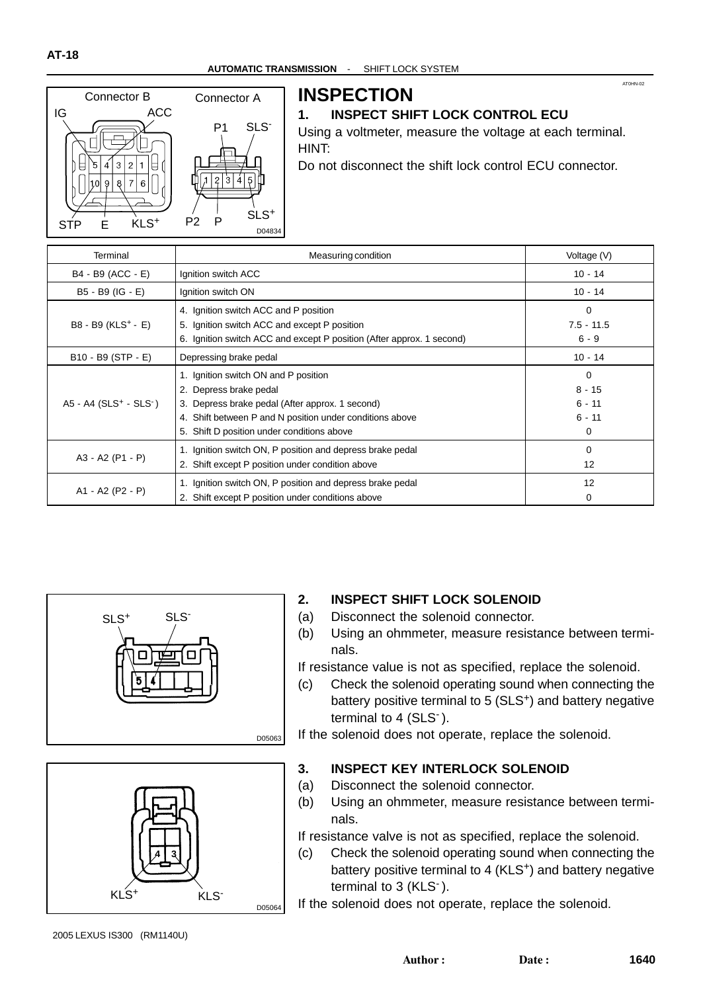

#### **INSPECTION**

#### **1. INSPECT SHIFT LOCK CONTROL ECU**

Using a voltmeter, measure the voltage at each terminal. HINT:

AT0HN-02

Do not disconnect the shift lock control ECU connector.

| Terminal                                         | Measuring condition                                                                                                                                                                                                         | Voltage (V)                                |
|--------------------------------------------------|-----------------------------------------------------------------------------------------------------------------------------------------------------------------------------------------------------------------------------|--------------------------------------------|
| B4 - B9 (ACC - E)                                | Ignition switch ACC                                                                                                                                                                                                         | $10 - 14$                                  |
| B5 - B9 (IG - E)                                 | Ignition switch ON                                                                                                                                                                                                          | $10 - 14$                                  |
| B8 - B9 (KLS <sup>+</sup> - E)                   | 4. Ignition switch ACC and P position<br>5. Ignition switch ACC and except P position<br>6. Ignition switch ACC and except P position (After approx. 1 second)                                                              | 0<br>$7.5 - 11.5$<br>$6 - 9$               |
| B10 - B9 (STP - E)                               | Depressing brake pedal                                                                                                                                                                                                      | $10 - 14$                                  |
| $A5 - A4$ (SLS <sup>+</sup> - SLS <sup>-</sup> ) | 1. Ignition switch ON and P position<br>2. Depress brake pedal<br>3. Depress brake pedal (After approx. 1 second)<br>4. Shift between P and N position under conditions above<br>5. Shift D position under conditions above | 0<br>$8 - 15$<br>$6 - 11$<br>$6 - 11$<br>0 |
| A3 - A2 (P1 - P)                                 | 1. Ignition switch ON, P position and depress brake pedal<br>2. Shift except P position under condition above                                                                                                               | $\Omega$<br>12                             |
| A1 - A2 (P2 - P)                                 | 1. Ignition switch ON, P position and depress brake pedal<br>2. Shift except P position under conditions above                                                                                                              | 12<br>0                                    |





#### **2. INSPECT SHIFT LOCK SOLENOID**

- (a) Disconnect the solenoid connector.
- (b) Using an ohmmeter, measure resistance between terminals.

If resistance value is not as specified, replace the solenoid.

(c) Check the solenoid operating sound when connecting the battery positive terminal to 5 (SLS<sup>+</sup>) and battery negative terminal to 4 (SLS<sup>-</sup>).

If the solenoid does not operate, replace the solenoid.

#### **3. INSPECT KEY INTERLOCK SOLENOID**

- (a) Disconnect the solenoid connector.
- (b) Using an ohmmeter, measure resistance between terminals.

If resistance valve is not as specified, replace the solenoid.

(c) Check the solenoid operating sound when connecting the battery positive terminal to 4 (KLS<sup>+</sup>) and battery negative terminal to 3 (KLS<sup>-</sup>).

If the solenoid does not operate, replace the solenoid.

2005 LEXUS IS300 (RM1140U)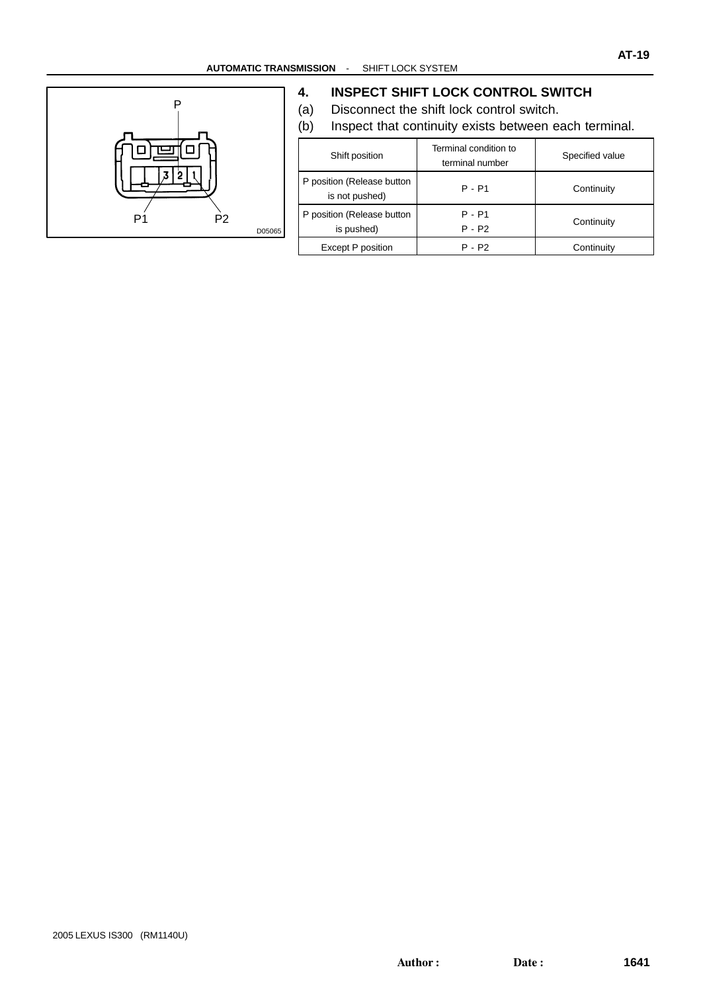

#### **4. INSPECT SHIFT LOCK CONTROL SWITCH**

- (a) Disconnect the shift lock control switch.
- (b) Inspect that continuity exists between each terminal.

| Shift position                               | Terminal condition to<br>terminal number | Specified value |  |  |  |
|----------------------------------------------|------------------------------------------|-----------------|--|--|--|
| P position (Release button<br>is not pushed) | $P - P1$                                 | Continuity      |  |  |  |
| P position (Release button<br>is pushed)     | $P - P1$<br>$P - P2$                     | Continuity      |  |  |  |
| Except P position                            | P - P2                                   | Continuity      |  |  |  |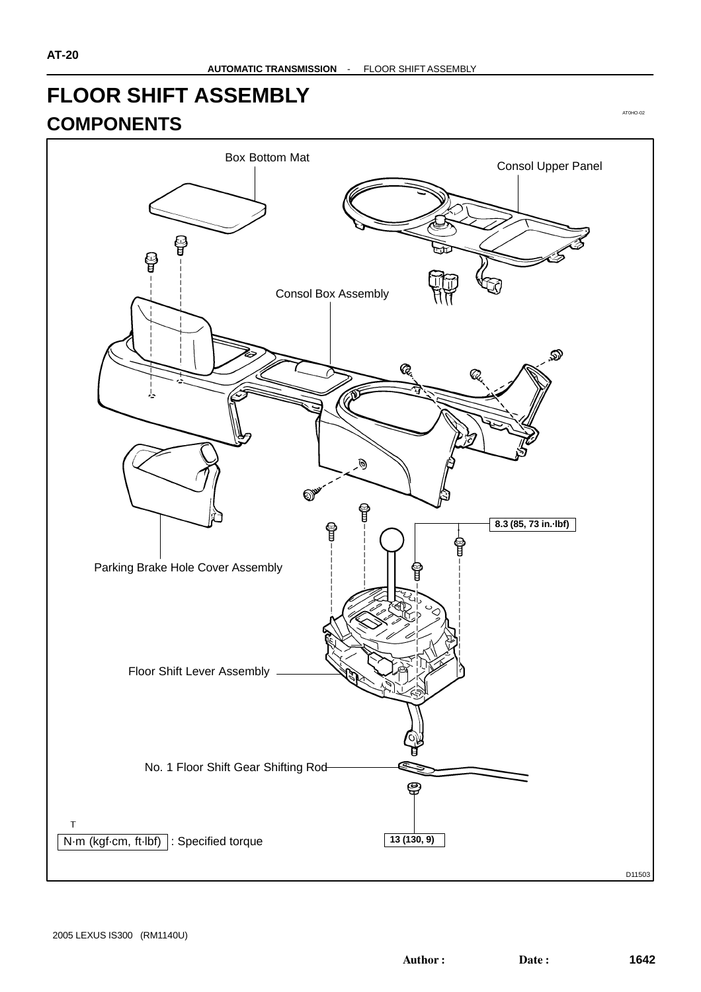#### **FLOOR SHIFT ASSEMBLY COMPONENTS**

AT0HO-02

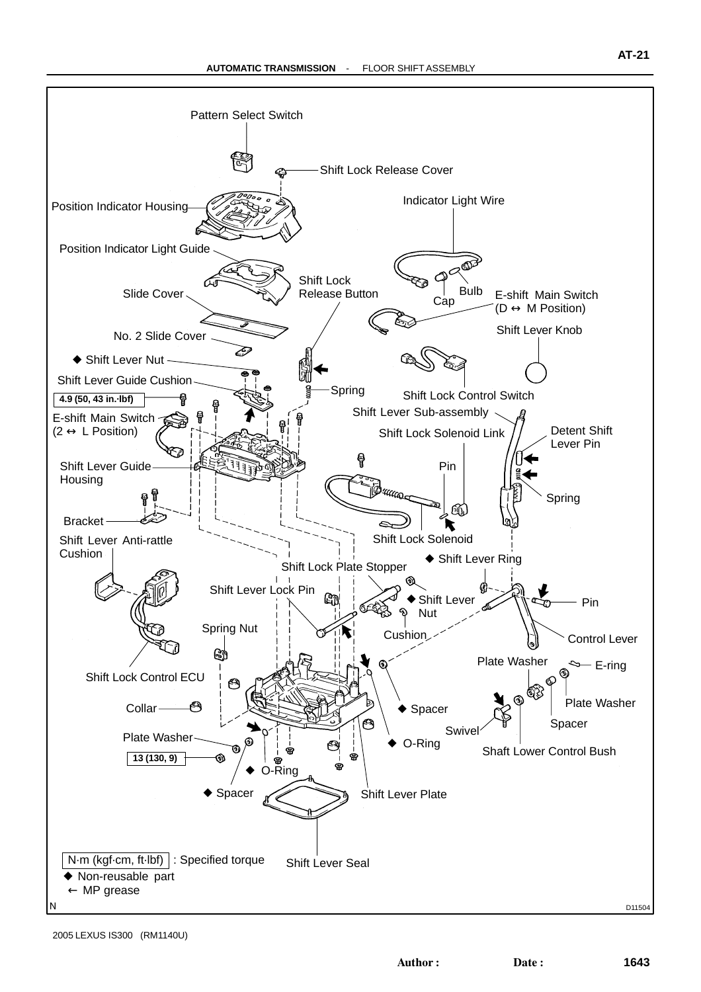

<sup>2005</sup> LEXUS IS300 (RM1140U)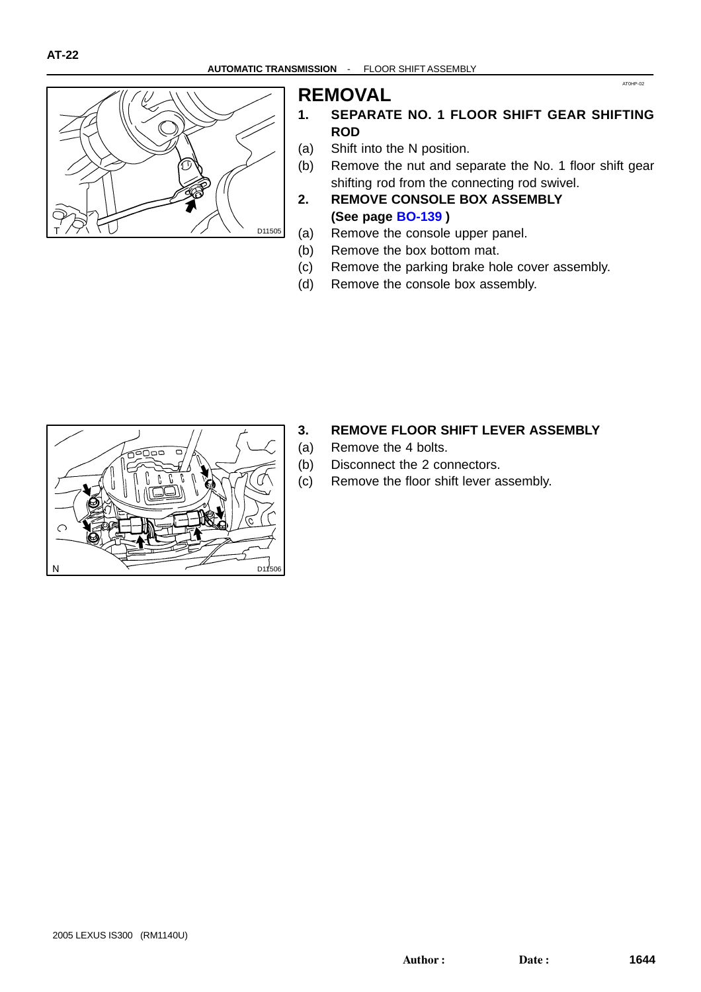

#### **REMOVAL**

**1. SEPARATE NO. 1 FLOOR SHIFT GEAR SHIFTING ROD**

AT0HP-02

- (a) Shift into the N position.
- (b) Remove the nut and separate the No. 1 floor shift gear shifting rod from the connecting rod swivel.
- **2. REMOVE CONSOLE BOX ASSEMBLY (See page [BO-139](#page-0-0) )**
- (a) Remove the console upper panel.
- (b) Remove the box bottom mat.
- (c) Remove the parking brake hole cover assembly.
- (d) Remove the console box assembly.



- **3. REMOVE FLOOR SHIFT LEVER ASSEMBLY**
- (a) Remove the 4 bolts.
- (b) Disconnect the 2 connectors.
- (c) Remove the floor shift lever assembly.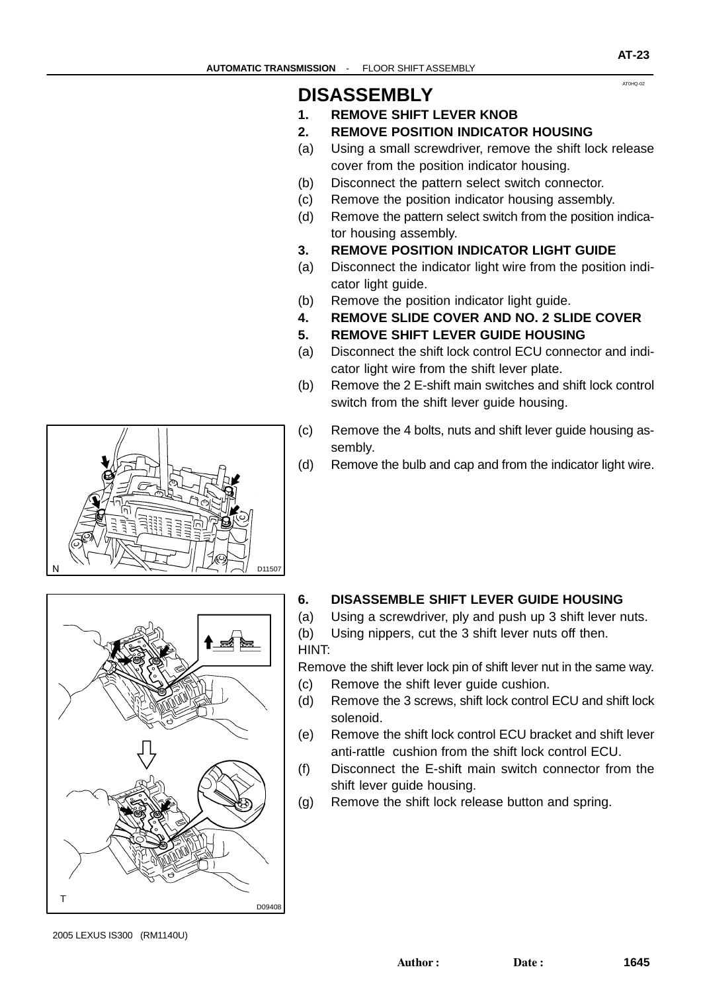AT0HQ-02

#### **DISASSEMBLY**

- **1. REMOVE SHIFT LEVER KNOB**
- **2. REMOVE POSITION INDICATOR HOUSING**
- (a) Using a small screwdriver, remove the shift lock release cover from the position indicator housing.
- (b) Disconnect the pattern select switch connector.
- (c) Remove the position indicator housing assembly.
- (d) Remove the pattern select switch from the position indicator housing assembly.
- **3. REMOVE POSITION INDICATOR LIGHT GUIDE**
- (a) Disconnect the indicator light wire from the position indicator light guide.
- (b) Remove the position indicator light guide.
- **4. REMOVE SLIDE COVER AND NO. 2 SLIDE COVER**
- **5. REMOVE SHIFT LEVER GUIDE HOUSING**
- (a) Disconnect the shift lock control ECU connector and indicator light wire from the shift lever plate.
- (b) Remove the 2 E-shift main switches and shift lock control switch from the shift lever guide housing.
- (c) Remove the 4 bolts, nuts and shift lever guide housing assembly.
- (d) Remove the bulb and cap and from the indicator light wire.



# D09408

#### **6. DISASSEMBLE SHIFT LEVER GUIDE HOUSING**

- (a) Using a screwdriver, ply and push up 3 shift lever nuts.
- (b) Using nippers, cut the 3 shift lever nuts off then. HINT:

Remove the shift lever lock pin of shift lever nut in the same way.

- (c) Remove the shift lever guide cushion.
- (d) Remove the 3 screws, shift lock control ECU and shift lock solenoid.
- (e) Remove the shift lock control ECU bracket and shift lever anti-rattle cushion from the shift lock control ECU.
- (f) Disconnect the E-shift main switch connector from the shift lever quide housing.
- (g) Remove the shift lock release button and spring.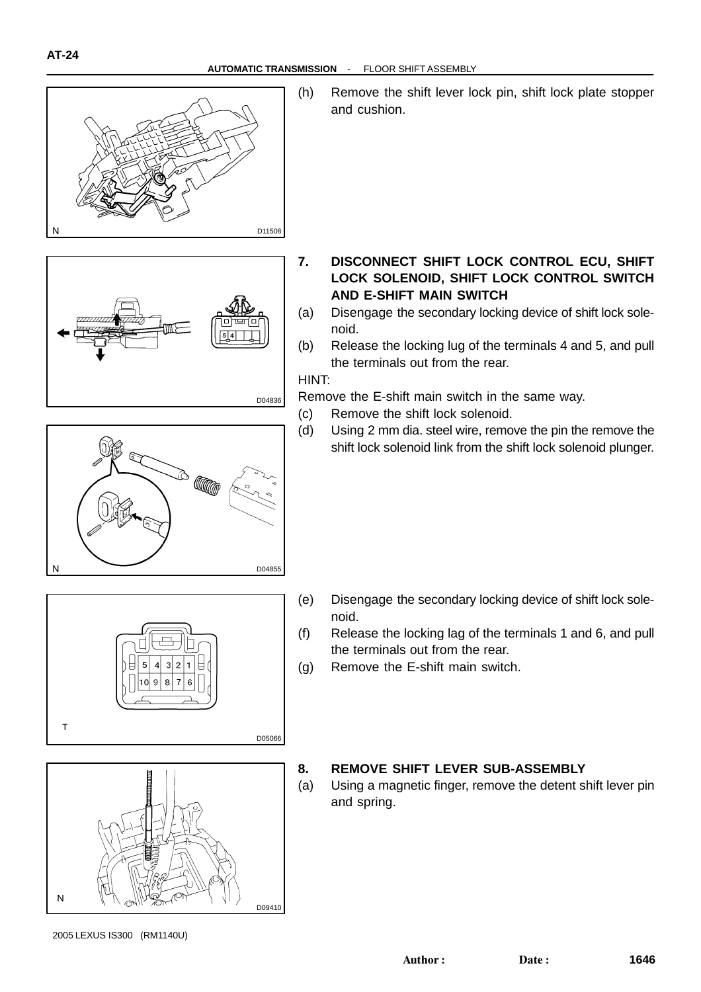

**AT-24**

(h) Remove the shift lever lock pin, shift lock plate stopper and cushion.



- **7. DISCONNECT SHIFT LOCK CONTROL ECU, SHIFT LOCK SOLENOID, SHIFT LOCK CONTROL SWITCH AND E-SHIFT MAIN SWITCH**
- (a) Disengage the secondary locking device of shift lock solenoid.
- (b) Release the locking lug of the terminals 4 and 5, and pull the terminals out from the rear.

HINT:

D04836

D05066

Remove the E-shift main switch in the same way.

- (c) Remove the shift lock solenoid.
- (d) Using 2 mm dia. steel wire, remove the pin the remove the shift lock solenoid link from the shift lock solenoid plunger.



 $\overline{5}$ 

 $10$ 

 $3|2$  $\vert$ 

 $\bf{8}$ Q

 $\overline{1}$ 

 $\epsilon$ 

- (e) Disengage the secondary locking device of shift lock solenoid.
- (f) Release the locking lag of the terminals 1 and 6, and pull the terminals out from the rear.
- (g) Remove the E-shift main switch.



#### **8. REMOVE SHIFT LEVER SUB-ASSEMBLY**

(a) Using a magnetic finger, remove the detent shift lever pin and spring.

 $\mathsf{T}$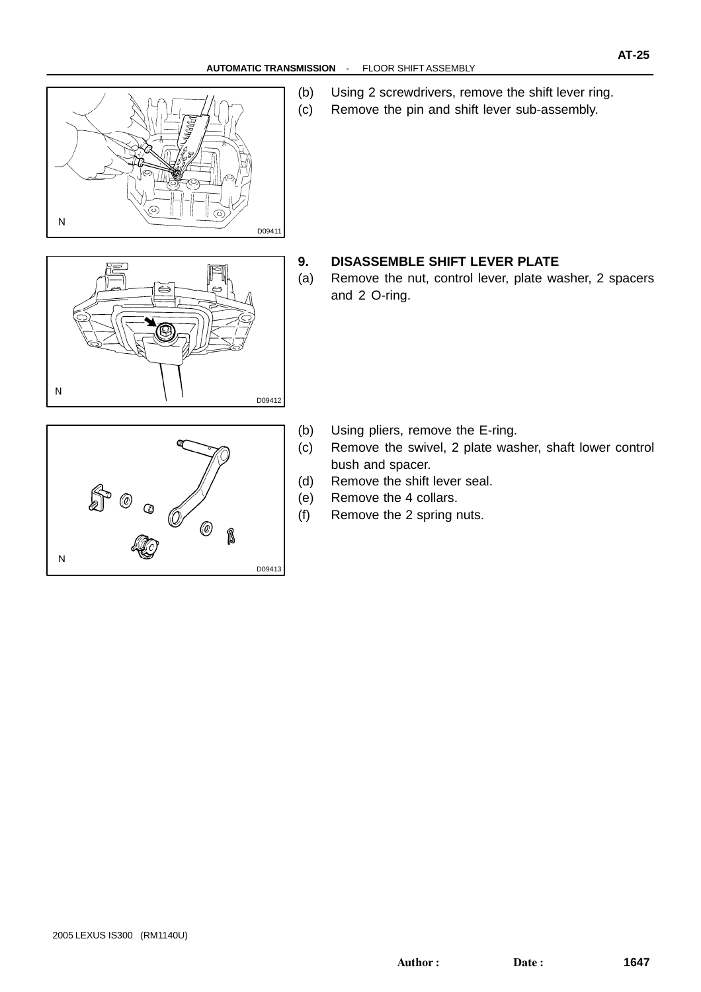

(b) Using 2 screwdrivers, remove the shift lever ring. (c) Remove the pin and shift lever sub-assembly.



#### **9. DISASSEMBLE SHIFT LEVER PLATE**

(a) Remove the nut, control lever, plate washer, 2 spacers and 2 O-ring.



- (b) Using pliers, remove the E-ring.
- (c) Remove the swivel, 2 plate washer, shaft lower control bush and spacer.
- (d) Remove the shift lever seal.
- (e) Remove the 4 collars.
- (f) Remove the 2 spring nuts.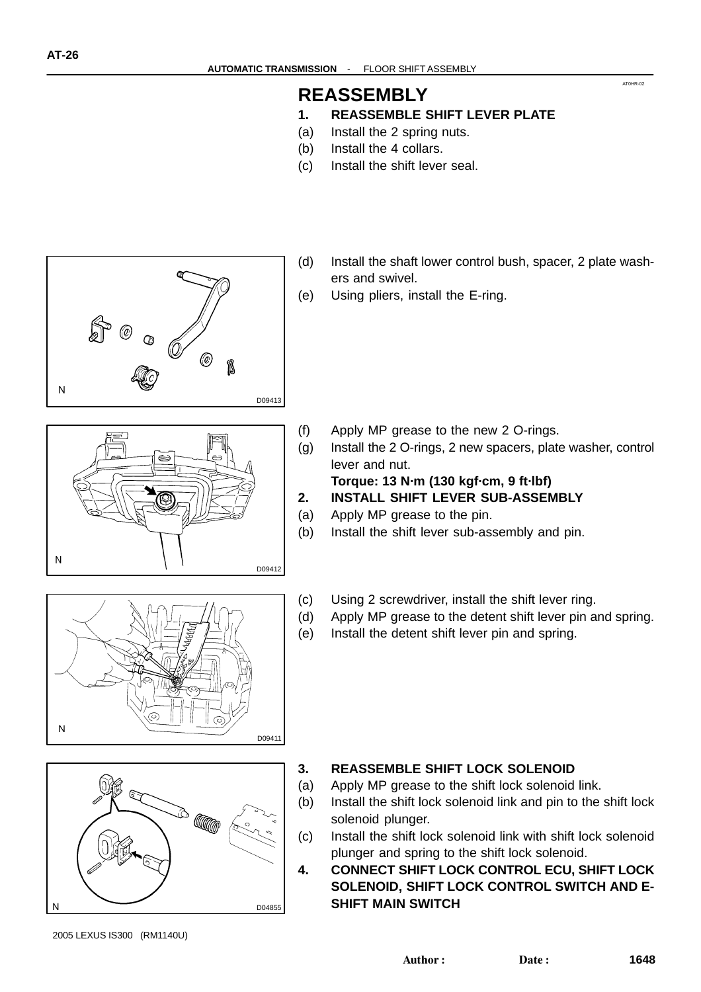#### **REASSEMBLY**

#### **1. REASSEMBLE SHIFT LEVER PLATE**

- (a) Install the 2 spring nuts.
- (b) Install the 4 collars.
- (c) Install the shift lever seal.



- (d) Install the shaft lower control bush, spacer, 2 plate washers and swivel.
- (e) Using pliers, install the E-ring.

- (f) Apply MP grease to the new 2 O-rings.
- (g) Install the 2 O-rings, 2 new spacers, plate washer, control lever and nut.

**Torque: 13 N·m (130 kgf·cm, 9 ft·lbf)**

- **2. INSTALL SHIFT LEVER SUB-ASSEMBLY**
- (a) Apply MP grease to the pin.

D09412

D09411

- (b) Install the shift lever sub-assembly and pin.
- (c) Using 2 screwdriver, install the shift lever ring.
- (d) Apply MP grease to the detent shift lever pin and spring.
- (e) Install the detent shift lever pin and spring.

### **A**  $\overline{\mathsf{N}}$ D04855

#### **3. REASSEMBLE SHIFT LOCK SOLENOID**

- (a) Apply MP grease to the shift lock solenoid link.
- (b) Install the shift lock solenoid link and pin to the shift lock solenoid plunger.
- (c) Install the shift lock solenoid link with shift lock solenoid plunger and spring to the shift lock solenoid.
- **4. CONNECT SHIFT LOCK CONTROL ECU, SHIFT LOCK SOLENOID, SHIFT LOCK CONTROL SWITCH AND E-SHIFT MAIN SWITCH**

AT0HR-02

 $\overline{N}$ 

 $\overline{N}$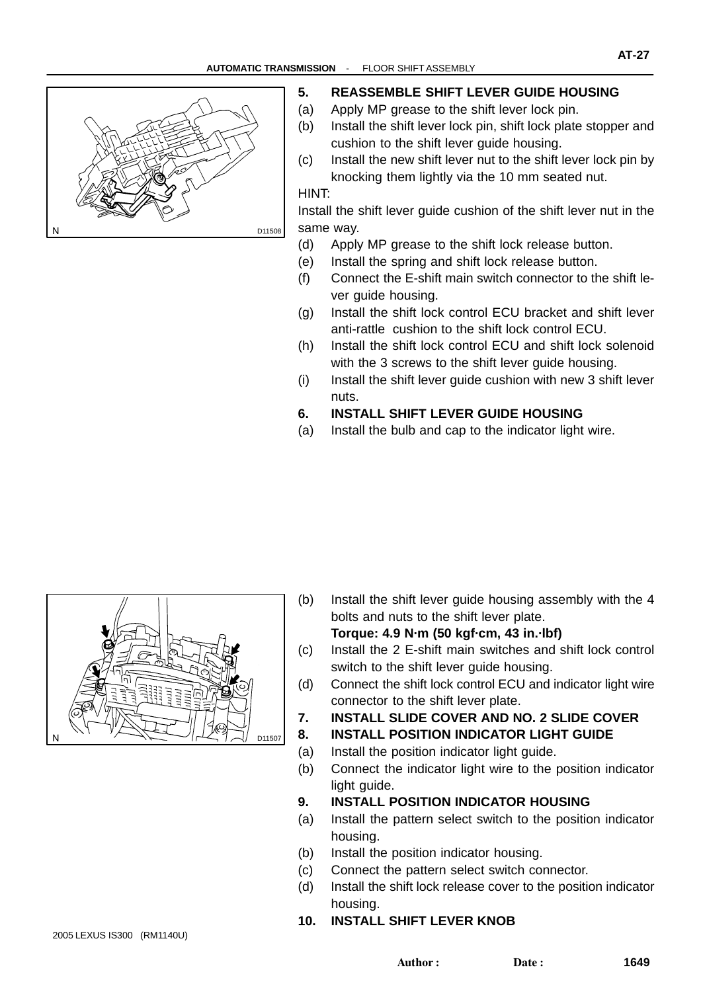

#### **5. REASSEMBLE SHIFT LEVER GUIDE HOUSING**

- (a) Apply MP grease to the shift lever lock pin.
- (b) Install the shift lever lock pin, shift lock plate stopper and cushion to the shift lever guide housing.
- (c) Install the new shift lever nut to the shift lever lock pin by knocking them lightly via the 10 mm seated nut.

HINT:

Install the shift lever guide cushion of the shift lever nut in the same way.

- (d) Apply MP grease to the shift lock release button.
- (e) Install the spring and shift lock release button.
- (f) Connect the E-shift main switch connector to the shift lever guide housing.
- (g) Install the shift lock control ECU bracket and shift lever anti-rattle cushion to the shift lock control ECU.
- (h) Install the shift lock control ECU and shift lock solenoid with the 3 screws to the shift lever guide housing.
- (i) Install the shift lever guide cushion with new 3 shift lever nuts.
- **6. INSTALL SHIFT LEVER GUIDE HOUSING**
- (a) Install the bulb and cap to the indicator light wire.



- (b) Install the shift lever guide housing assembly with the 4 bolts and nuts to the shift lever plate. **Torque: 4.9 N·m (50 kgf·cm, 43 in.·lbf)**
- (c) Install the 2 E-shift main switches and shift lock control switch to the shift lever quide housing.
- (d) Connect the shift lock control ECU and indicator light wire connector to the shift lever plate.

**7. INSTALL SLIDE COVER AND NO. 2 SLIDE COVER**

- **8. INSTALL POSITION INDICATOR LIGHT GUIDE**
- (a) Install the position indicator light guide.
- (b) Connect the indicator light wire to the position indicator light guide.
- **9. INSTALL POSITION INDICATOR HOUSING**
- (a) Install the pattern select switch to the position indicator housing.
- (b) Install the position indicator housing.
- (c) Connect the pattern select switch connector.
- (d) Install the shift lock release cover to the position indicator housing.
- **10. INSTALL SHIFT LEVER KNOB**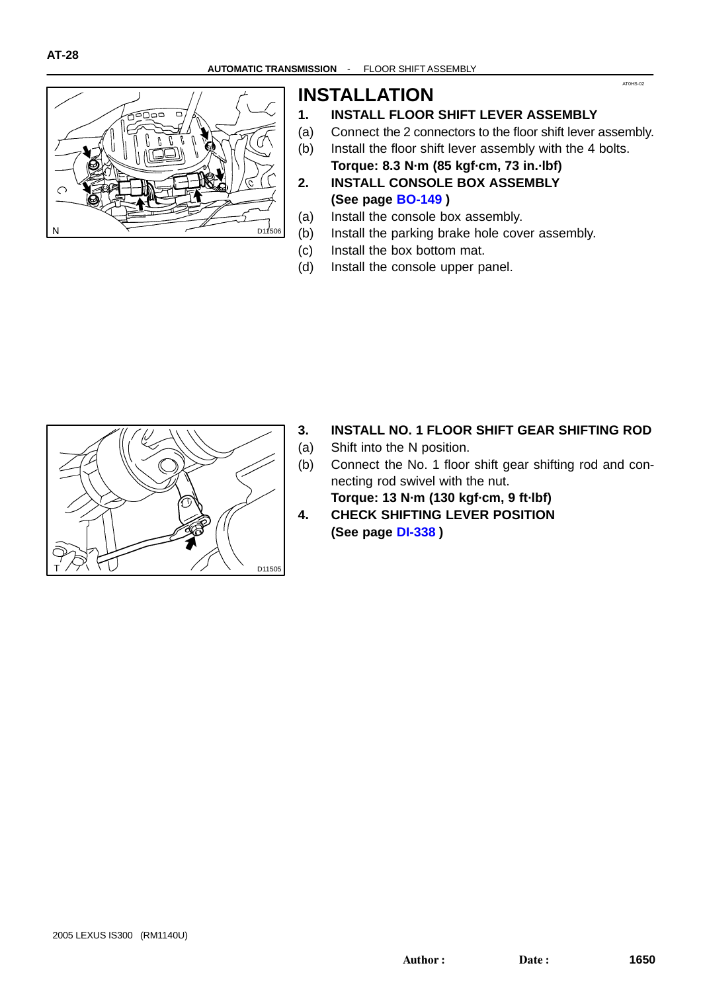

#### **INSTALLATION**

- **1. INSTALL FLOOR SHIFT LEVER ASSEMBLY**
- (a) Connect the 2 connectors to the floor shift lever assembly.

AT0HS-02

- (b) Install the floor shift lever assembly with the 4 bolts.
- **Torque: 8.3 N·m (85 kgf·cm, 73 in.·lbf) 2. INSTALL CONSOLE BOX ASSEMBLY (See page [BO-149](#page-0-0) )**
- (a) Install the console box assembly.
- (b) Install the parking brake hole cover assembly.
- (c) Install the box bottom mat.
- (d) Install the console upper panel.



#### **3. INSTALL NO. 1 FLOOR SHIFT GEAR SHIFTING ROD**

- (a) Shift into the N position.
- (b) Connect the No. 1 floor shift gear shifting rod and connecting rod swivel with the nut.
- **Torque: 13 N·m (130 kgf·cm, 9 ft·lbf) 4. CHECK SHIFTING LEVER POSITION (See page [DI-338](#page-0-0) )**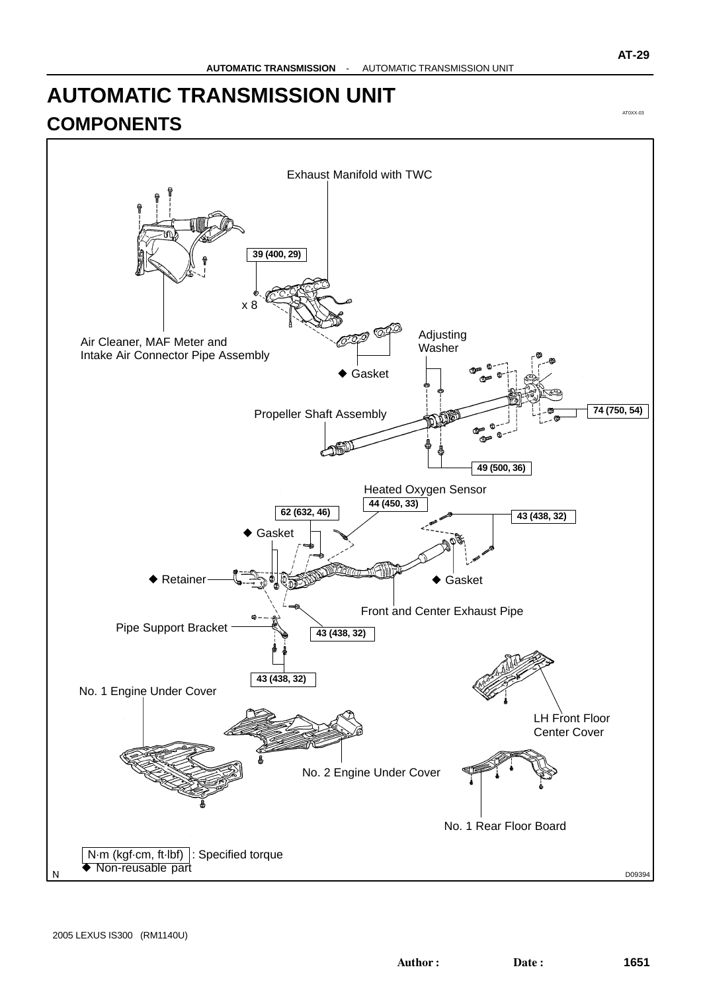#### **AUTOMATIC TRANSMISSION UNIT COMPONENTS**



AT0XX-03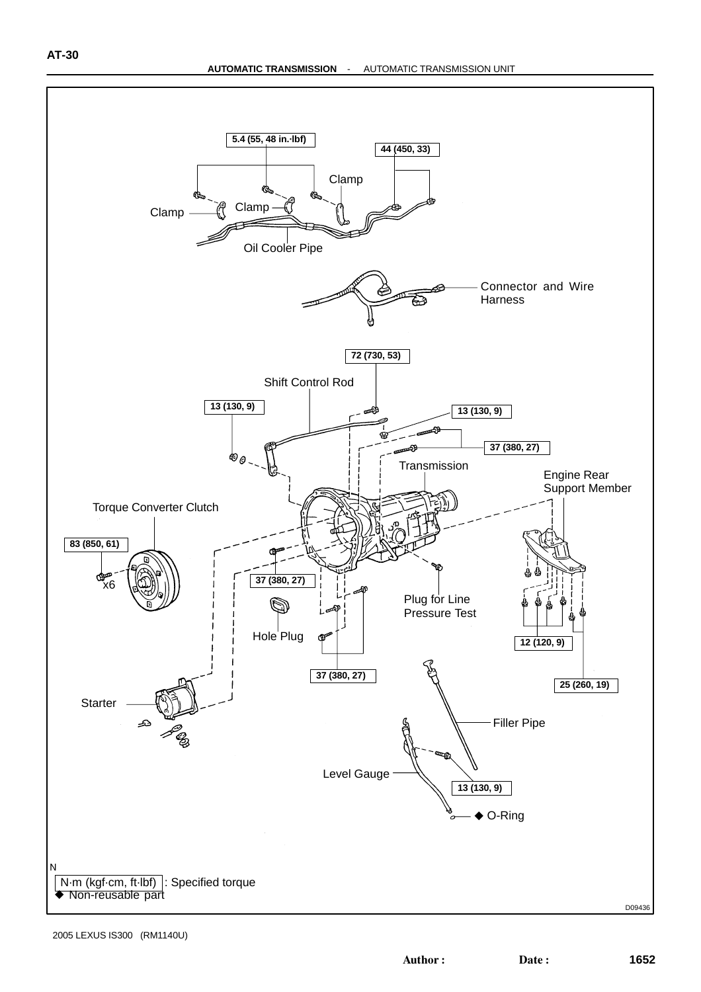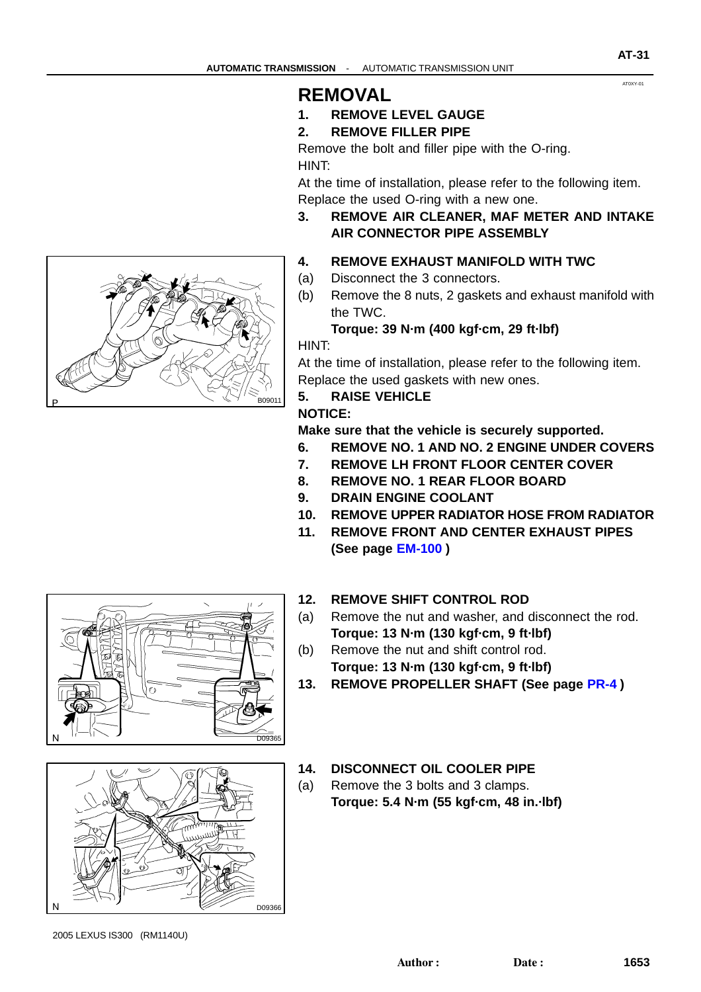#### AT0XY-01

## .<br>B09011

#### **REMOVAL**

- **1. REMOVE LEVEL GAUGE**
- **2. REMOVE FILLER PIPE**

Remove the bolt and filler pipe with the O-ring. HINT:

At the time of installation, please refer to the following item. Replace the used O-ring with a new one.

**3. REMOVE AIR CLEANER, MAF METER AND INTAKE AIR CONNECTOR PIPE ASSEMBLY**

#### **4. REMOVE EXHAUST MANIFOLD WITH TWC**

- (a) Disconnect the 3 connectors.
- (b) Remove the 8 nuts, 2 gaskets and exhaust manifold with the TWC.

#### **Torque: 39 N·m (400 kgf·cm, 29 ft·lbf)**

HINT:

At the time of installation, please refer to the following item. Replace the used gaskets with new ones.

#### **5. RAISE VEHICLE**

#### **NOTICE:**

**Make sure that the vehicle is securely supported.**

- **6. REMOVE NO. 1 AND NO. 2 ENGINE UNDER COVERS**
- **7. REMOVE LH FRONT FLOOR CENTER COVER**
- **8. REMOVE NO. 1 REAR FLOOR BOARD**
- **9. DRAIN ENGINE COOLANT**
- **10. REMOVE UPPER RADIATOR HOSE FROM RADIATOR**
- **11. REMOVE FRONT AND CENTER EXHAUST PIPES (See page [EM-100](#page-0-0) )**

#### **12. REMOVE SHIFT CONTROL ROD**

- (a) Remove the nut and washer, and disconnect the rod. **Torque: 13 N·m (130 kgf·cm, 9 ft·lbf)**
- (b) Remove the nut and shift control rod. **Torque: 13 N·m (130 kgf·cm, 9 ft·lbf)**
- **13. REMOVE PROPELLER SHAFT (See page [PR-4](#page-0-0) )**
- **14. DISCONNECT OIL COOLER PIPE**
- (a) Remove the 3 bolts and 3 clamps. **Torque: 5.4 N·m (55 kgf·cm, 48 in.·lbf)**





2005 LEXUS IS300 (RM1140U)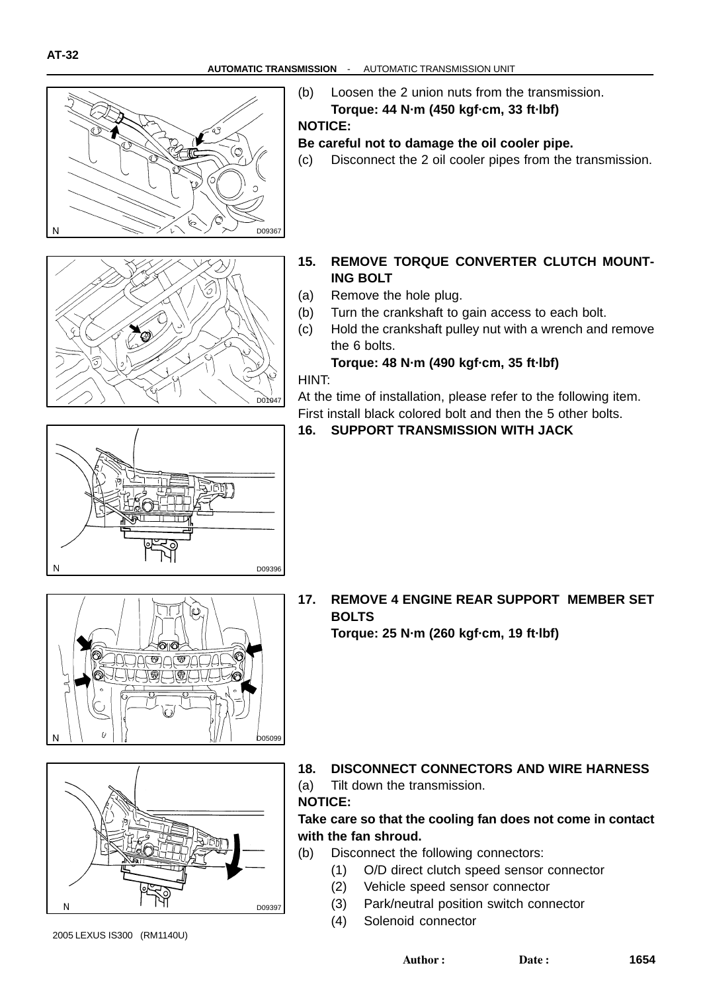



**NOTICE:**

#### **Be careful not to damage the oil cooler pipe.**

- (c) Disconnect the 2 oil cooler pipes from the transmission.
- **15. REMOVE TORQUE CONVERTER CLUTCH MOUNT-ING BOLT**
- (a) Remove the hole plug.
- (b) Turn the crankshaft to gain access to each bolt.
- (c) Hold the crankshaft pulley nut with a wrench and remove the 6 bolts.

**Torque: 48 N·m (490 kgf·cm, 35 ft·lbf)**

HINT:

D01047

At the time of installation, please refer to the following item. First install black colored bolt and then the 5 other bolts.

#### **16. SUPPORT TRANSMISSION WITH JACK**





**17. REMOVE 4 ENGINE REAR SUPPORT MEMBER SET BOLTS**

**Torque: 25 N·m (260 kgf·cm, 19 ft·lbf)**



**18. DISCONNECT CONNECTORS AND WIRE HARNESS**

(a) Tilt down the transmission.

#### **NOTICE:**

#### **Take care so that the cooling fan does not come in contact with the fan shroud.**

- (b) Disconnect the following connectors:
	- (1) O/D direct clutch speed sensor connector
	- (2) Vehicle speed sensor connector
	- (3) Park/neutral position switch connector
	- (4) Solenoid connector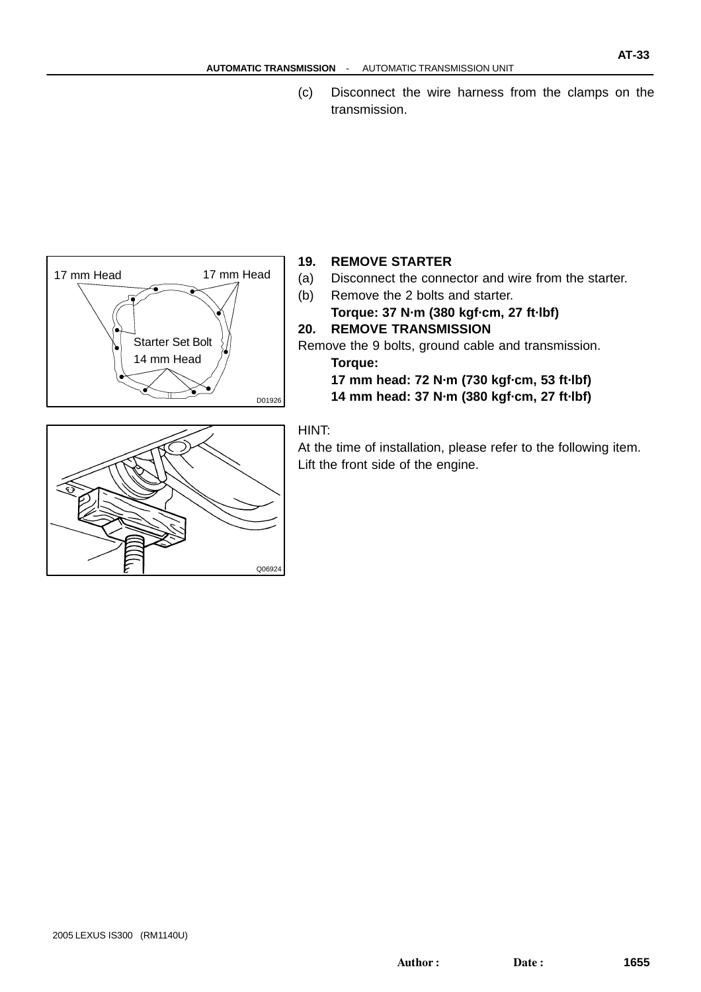(c) Disconnect the wire harness from the clamps on the transmission.



#### **19. REMOVE STARTER**

- (a) Disconnect the connector and wire from the starter.
- (b) Remove the 2 bolts and starter.

**Torque: 37 N·m (380 kgf·cm, 27 ft·lbf) 20. REMOVE TRANSMISSION**

Remove the 9 bolts, ground cable and transmission. **Torque:**

- **17 mm head: 72 N·m (730 kgf·cm, 53 ft·lbf)**
- **14 mm head: 37 N·m (380 kgf·cm, 27 ft·lbf)**



#### HINT:

Q06924

At the time of installation, please refer to the following item. Lift the front side of the engine.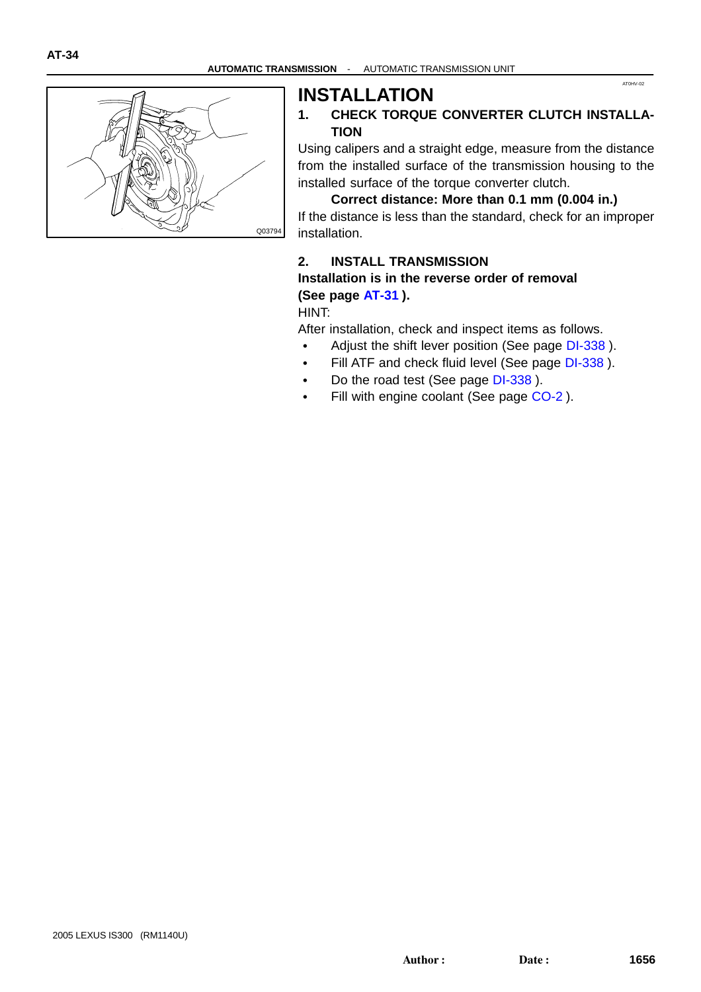AT0HV-02



#### **INSTALLATION 1. CHECK TORQUE CONVERTER CLUTCH INSTALLA-TION**

Using calipers and a straight edge, measure from the distance from the installed surface of the transmission housing to the installed surface of the torque converter clutch.

#### **Correct distance: More than 0.1 mm (0.004 in.)**

If the distance is less than the standard, check for an improper installation.

#### **2. INSTALL TRANSMISSION Installation is in the reverse order of removal (See page [AT-31](#page-0-0) ).**

HINT:

After installation, check and inspect items as follows.

- Adjust the shift lever position (See page [DI-338](#page-0-0)).
- $\bullet$ Fill ATF and check fluid level (See page [DI-338](#page-0-0) ).
- $\bullet$ Do the road test (See page [DI-338](#page-0-0) ).
- Fill with engine coolant (See page [CO-2](#page-0-0)).